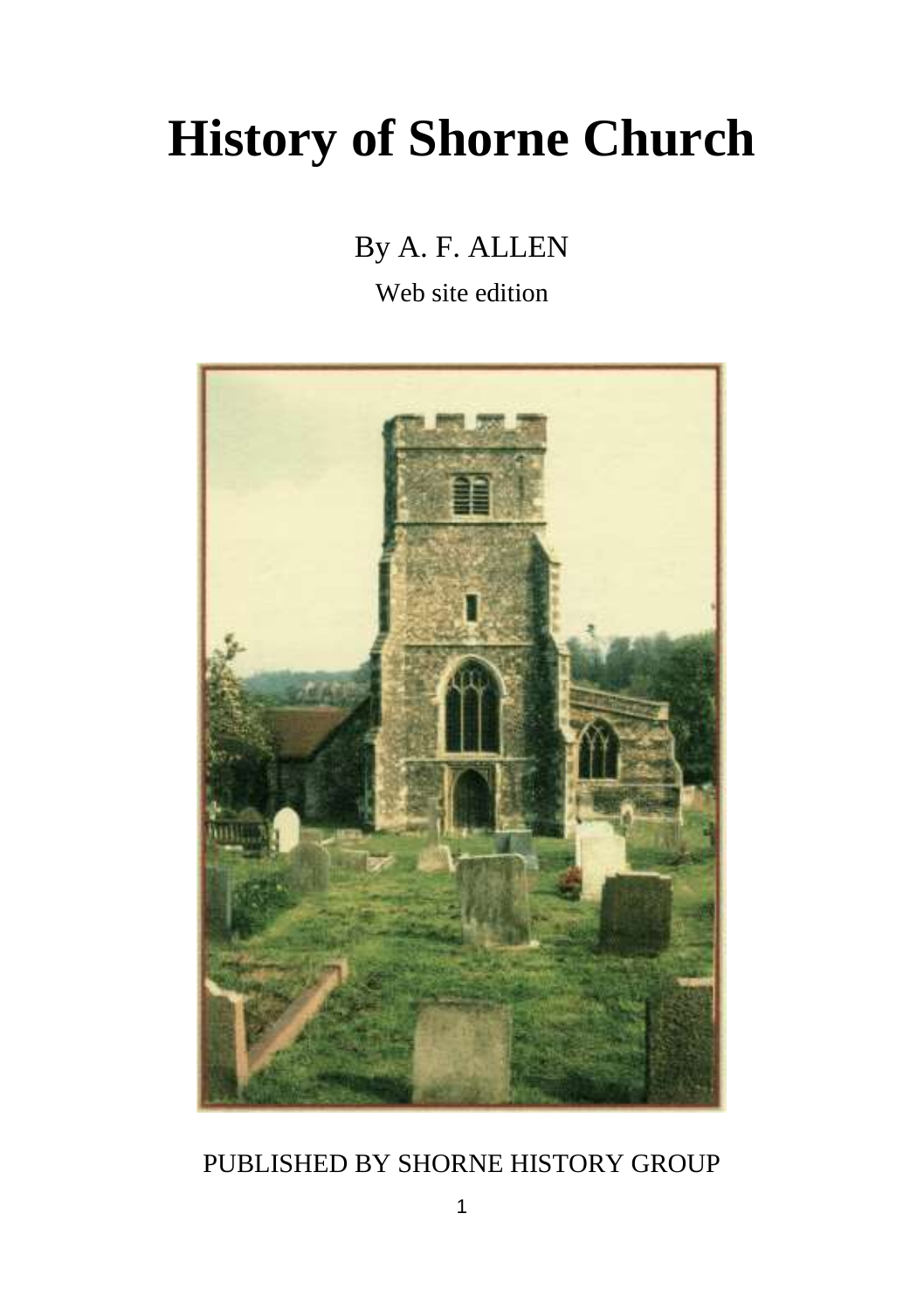# **History of Shorne Church**

## By A. F. ALLEN

Web site edition



## PUBLISHED BY SHORNE HISTORY GROUP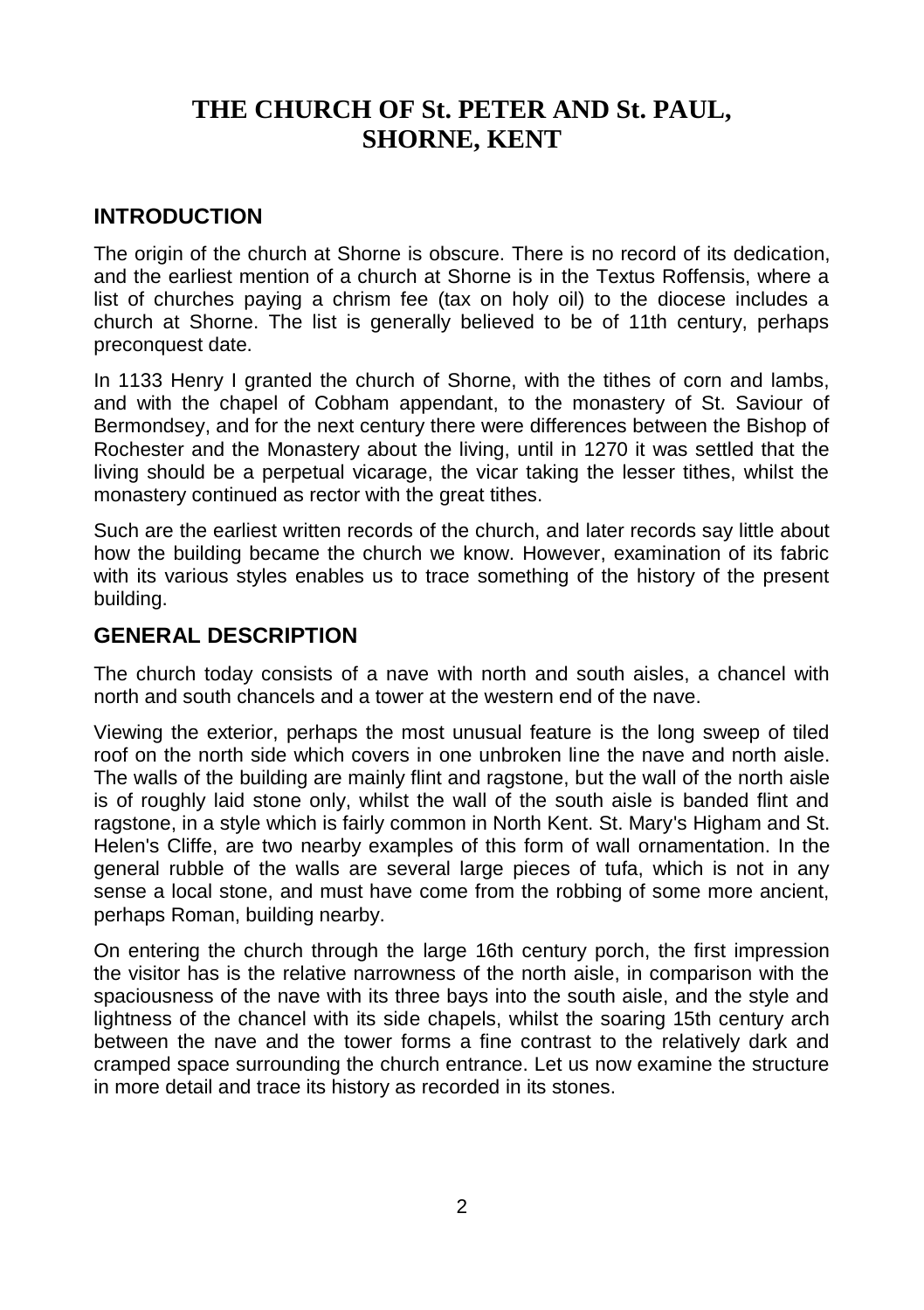## **THE CHURCH OF St. PETER AND St. PAUL, SHORNE, KENT**

#### **INTRODUCTION**

The origin of the church at Shorne is obscure. There is no record of its dedication, and the earliest mention of a church at Shorne is in the Textus Roffensis, where a list of churches paying a chrism fee (tax on holy oil) to the diocese includes a church at Shorne. The list is generally believed to be of 11th century, perhaps preconquest date.

In 1133 Henry I granted the church of Shorne, with the tithes of corn and lambs, and with the chapel of Cobham appendant, to the monastery of St. Saviour of Bermondsey, and for the next century there were differences between the Bishop of Rochester and the Monastery about the living, until in 1270 it was settled that the living should be a perpetual vicarage, the vicar taking the lesser tithes, whilst the monastery continued as rector with the great tithes.

Such are the earliest written records of the church, and later records say little about how the building became the church we know. However, examination of its fabric with its various styles enables us to trace something of the history of the present building.

#### **GENERAL DESCRIPTION**

The church today consists of a nave with north and south aisles, a chancel with north and south chancels and a tower at the western end of the nave.

Viewing the exterior, perhaps the most unusual feature is the long sweep of tiled roof on the north side which covers in one unbroken line the nave and north aisle. The walls of the building are mainly flint and ragstone, but the wall of the north aisle is of roughly laid stone only, whilst the wall of the south aisle is banded flint and ragstone, in a style which is fairly common in North Kent. St. Mary's Higham and St. Helen's Cliffe, are two nearby examples of this form of wall ornamentation. In the general rubble of the walls are several large pieces of tufa, which is not in any sense a local stone, and must have come from the robbing of some more ancient, perhaps Roman, building nearby.

On entering the church through the large 16th century porch, the first impression the visitor has is the relative narrowness of the north aisle, in comparison with the spaciousness of the nave with its three bays into the south aisle, and the style and lightness of the chancel with its side chapels, whilst the soaring 15th century arch between the nave and the tower forms a fine contrast to the relatively dark and cramped space surrounding the church entrance. Let us now examine the structure in more detail and trace its history as recorded in its stones.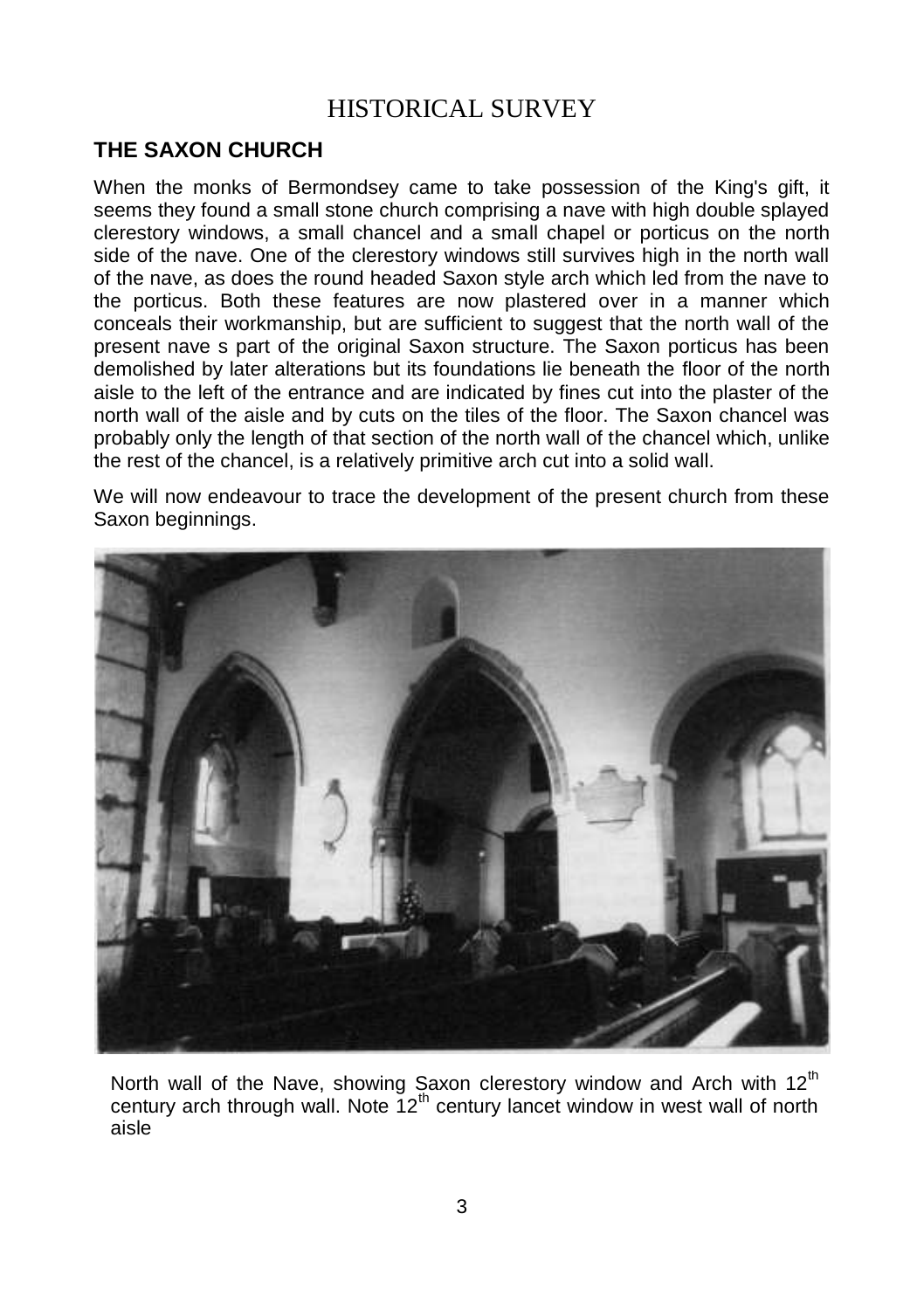## HISTORICAL SURVEY

#### **THE SAXON CHURCH**

When the monks of Bermondsey came to take possession of the King's gift, it seems they found a small stone church comprising a nave with high double splayed clerestory windows, a small chancel and a small chapel or porticus on the north side of the nave. One of the clerestory windows still survives high in the north wall of the nave, as does the round headed Saxon style arch which led from the nave to the porticus. Both these features are now plastered over in a manner which conceals their workmanship, but are sufficient to suggest that the north wall of the present nave s part of the original Saxon structure. The Saxon porticus has been demolished by later alterations but its foundations lie beneath the floor of the north aisle to the left of the entrance and are indicated by fines cut into the plaster of the north wall of the aisle and by cuts on the tiles of the floor. The Saxon chancel was probably only the length of that section of the north wall of the chancel which, unlike the rest of the chancel, is a relatively primitive arch cut into a solid wall.

We will now endeavour to trace the development of the present church from these Saxon beginnings.



North wall of the Nave, showing Saxon clerestory window and Arch with 12<sup>th</sup> century arch through wall. Note  $12<sup>th</sup>$  century lancet window in west wall of north aisle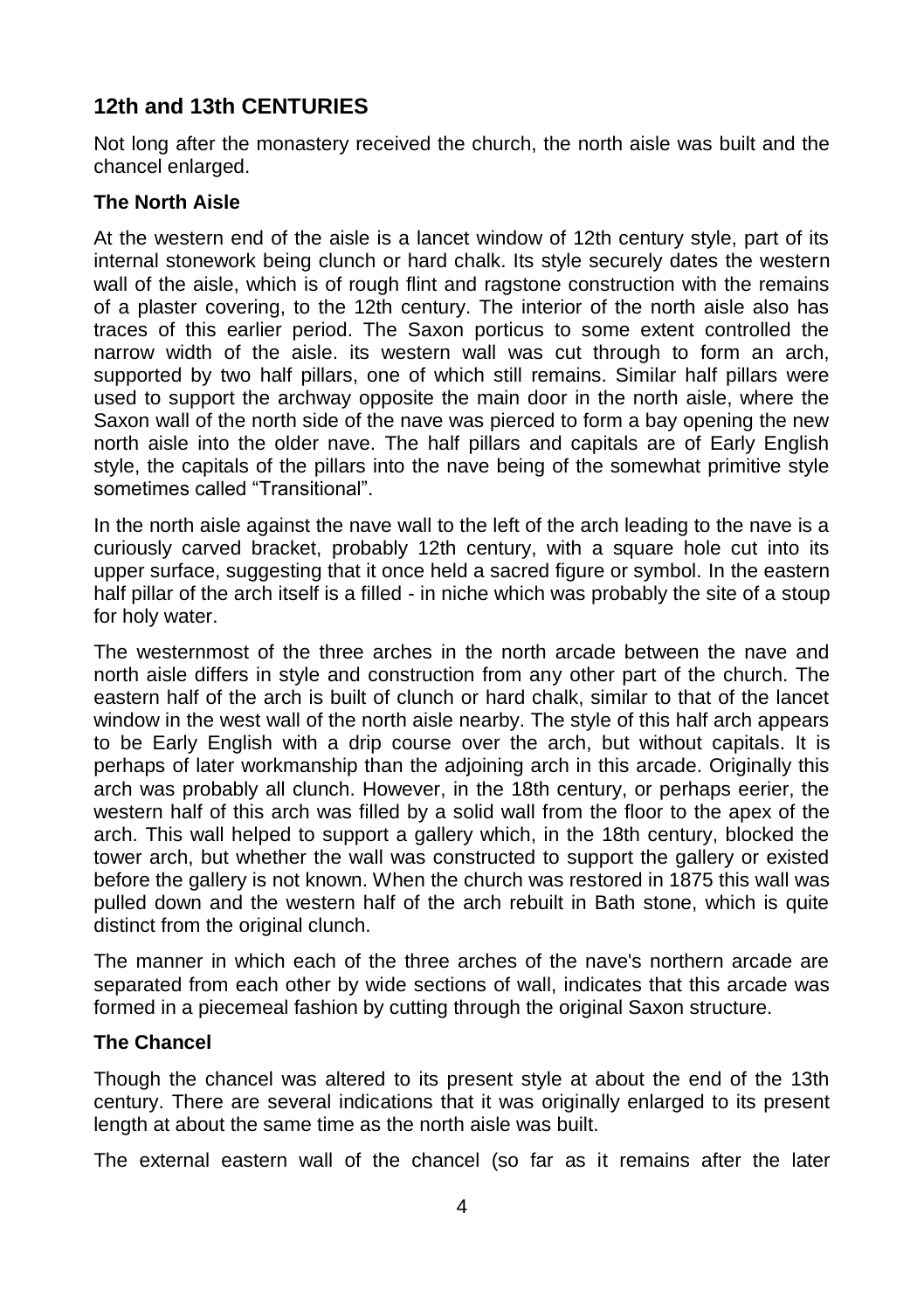### **12th and 13th CENTURIES**

Not long after the monastery received the church, the north aisle was built and the chancel enlarged.

#### **The North Aisle**

At the western end of the aisle is a lancet window of 12th century style, part of its internal stonework being clunch or hard chalk. Its style securely dates the western wall of the aisle, which is of rough flint and ragstone construction with the remains of a plaster covering, to the 12th century. The interior of the north aisle also has traces of this earlier period. The Saxon porticus to some extent controlled the narrow width of the aisle. its western wall was cut through to form an arch, supported by two half pillars, one of which still remains. Similar half pillars were used to support the archway opposite the main door in the north aisle, where the Saxon wall of the north side of the nave was pierced to form a bay opening the new north aisle into the older nave. The half pillars and capitals are of Early English style, the capitals of the pillars into the nave being of the somewhat primitive style sometimes called "Transitional".

In the north aisle against the nave wall to the left of the arch leading to the nave is a curiously carved bracket, probably 12th century, with a square hole cut into its upper surface, suggesting that it once held a sacred figure or symbol. In the eastern half pillar of the arch itself is a filled - in niche which was probably the site of a stoup for holy water.

The westernmost of the three arches in the north arcade between the nave and north aisle differs in style and construction from any other part of the church. The eastern half of the arch is built of clunch or hard chalk, similar to that of the lancet window in the west wall of the north aisle nearby. The style of this half arch appears to be Early English with a drip course over the arch, but without capitals. It is perhaps of later workmanship than the adjoining arch in this arcade. Originally this arch was probably all clunch. However, in the 18th century, or perhaps eerier, the western half of this arch was filled by a solid wall from the floor to the apex of the arch. This wall helped to support a gallery which, in the 18th century, blocked the tower arch, but whether the wall was constructed to support the gallery or existed before the gallery is not known. When the church was restored in 1875 this wall was pulled down and the western half of the arch rebuilt in Bath stone, which is quite distinct from the original clunch.

The manner in which each of the three arches of the nave's northern arcade are separated from each other by wide sections of wall, indicates that this arcade was formed in a piecemeal fashion by cutting through the original Saxon structure.

#### **The Chancel**

Though the chancel was altered to its present style at about the end of the 13th century. There are several indications that it was originally enlarged to its present length at about the same time as the north aisle was built.

The external eastern wall of the chancel (so far as it remains after the later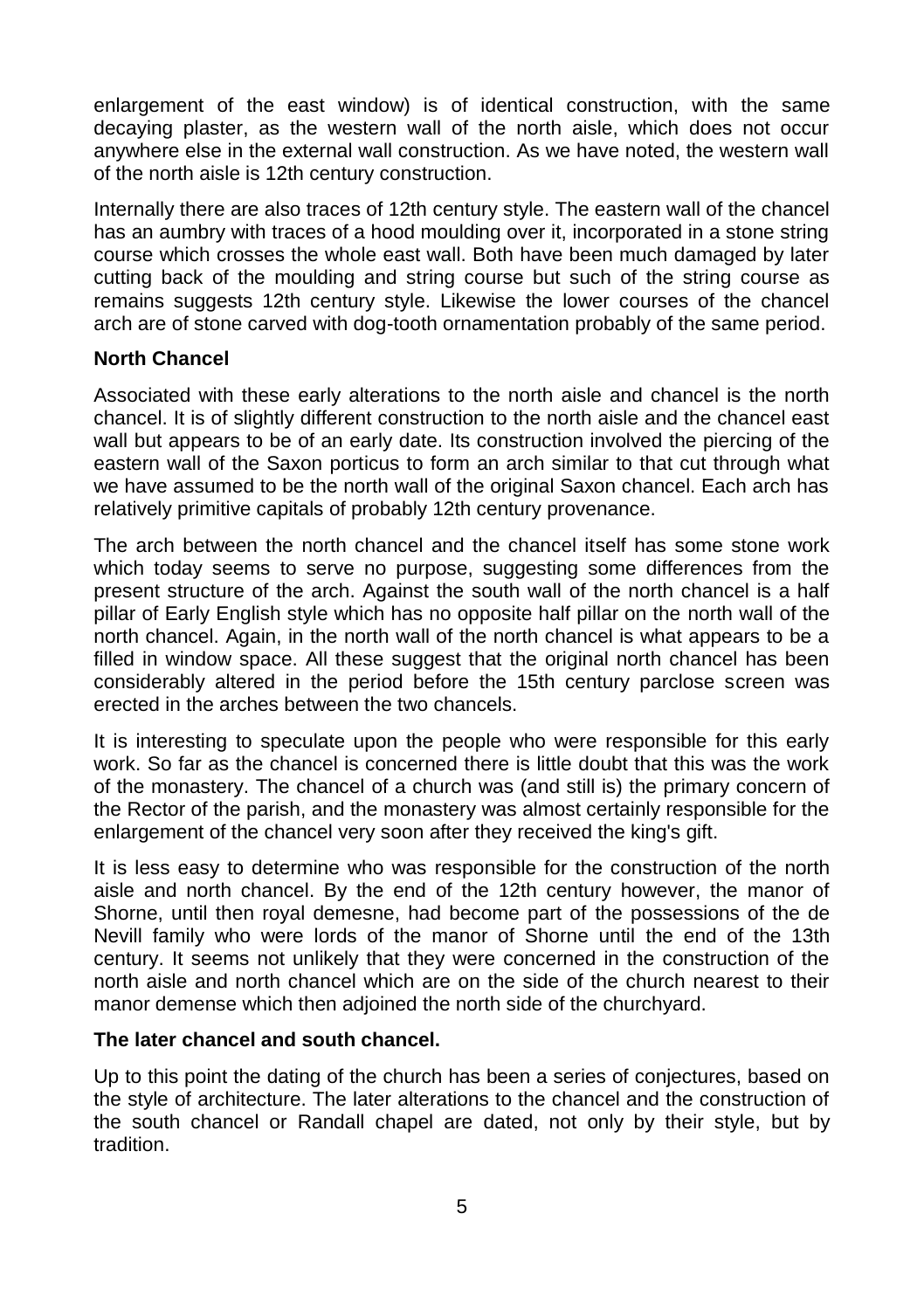enlargement of the east window) is of identical construction, with the same decaying plaster, as the western wall of the north aisle, which does not occur anywhere else in the external wall construction. As we have noted, the western wall of the north aisle is 12th century construction.

Internally there are also traces of 12th century style. The eastern wall of the chancel has an aumbry with traces of a hood moulding over it, incorporated in a stone string course which crosses the whole east wall. Both have been much damaged by later cutting back of the moulding and string course but such of the string course as remains suggests 12th century style. Likewise the lower courses of the chancel arch are of stone carved with dog-tooth ornamentation probably of the same period.

#### **North Chancel**

Associated with these early alterations to the north aisle and chancel is the north chancel. It is of slightly different construction to the north aisle and the chancel east wall but appears to be of an early date. Its construction involved the piercing of the eastern wall of the Saxon porticus to form an arch similar to that cut through what we have assumed to be the north wall of the original Saxon chancel. Each arch has relatively primitive capitals of probably 12th century provenance.

The arch between the north chancel and the chancel itself has some stone work which today seems to serve no purpose, suggesting some differences from the present structure of the arch. Against the south wall of the north chancel is a half pillar of Early English style which has no opposite half pillar on the north wall of the north chancel. Again, in the north wall of the north chancel is what appears to be a filled in window space. All these suggest that the original north chancel has been considerably altered in the period before the 15th century parclose screen was erected in the arches between the two chancels.

It is interesting to speculate upon the people who were responsible for this early work. So far as the chancel is concerned there is little doubt that this was the work of the monastery. The chancel of a church was (and still is) the primary concern of the Rector of the parish, and the monastery was almost certainly responsible for the enlargement of the chancel very soon after they received the king's gift.

It is less easy to determine who was responsible for the construction of the north aisle and north chancel. By the end of the 12th century however, the manor of Shorne, until then royal demesne, had become part of the possessions of the de Nevill family who were lords of the manor of Shorne until the end of the 13th century. It seems not unlikely that they were concerned in the construction of the north aisle and north chancel which are on the side of the church nearest to their manor demense which then adjoined the north side of the churchyard.

#### **The later chancel and south chancel.**

Up to this point the dating of the church has been a series of conjectures, based on the style of architecture. The later alterations to the chancel and the construction of the south chancel or Randall chapel are dated, not only by their style, but by tradition.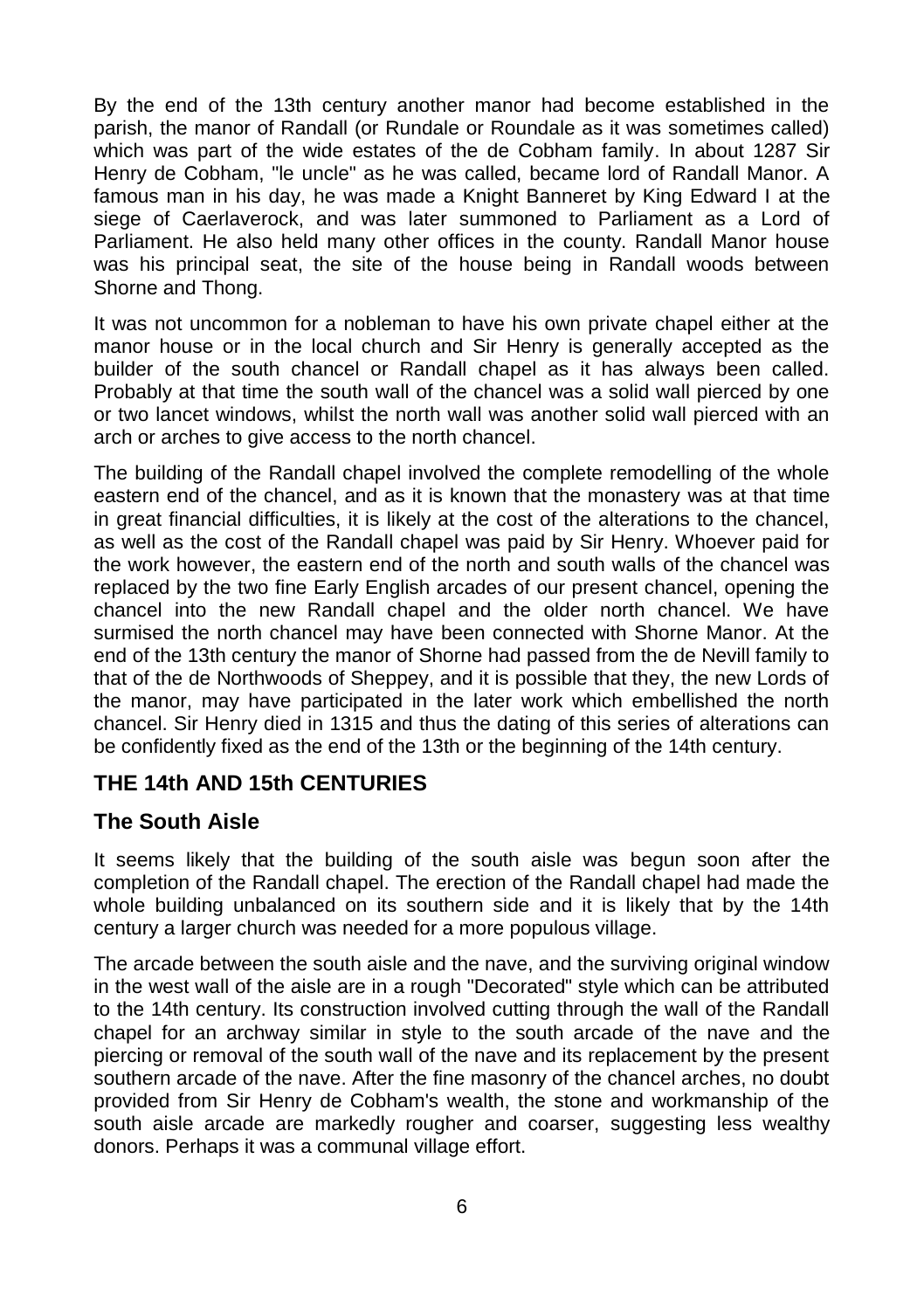By the end of the 13th century another manor had become established in the parish, the manor of Randall (or Rundale or Roundale as it was sometimes called) which was part of the wide estates of the de Cobham family. In about 1287 Sir Henry de Cobham, "le uncle" as he was called, became lord of Randall Manor. A famous man in his day, he was made a Knight Banneret by King Edward I at the siege of Caerlaverock, and was later summoned to Parliament as a Lord of Parliament. He also held many other offices in the county. Randall Manor house was his principal seat, the site of the house being in Randall woods between Shorne and Thong.

It was not uncommon for a nobleman to have his own private chapel either at the manor house or in the local church and Sir Henry is generally accepted as the builder of the south chancel or Randall chapel as it has always been called. Probably at that time the south wall of the chancel was a solid wall pierced by one or two lancet windows, whilst the north wall was another solid wall pierced with an arch or arches to give access to the north chancel.

The building of the Randall chapel involved the complete remodelling of the whole eastern end of the chancel, and as it is known that the monastery was at that time in great financial difficulties, it is likely at the cost of the alterations to the chancel, as well as the cost of the Randall chapel was paid by Sir Henry. Whoever paid for the work however, the eastern end of the north and south walls of the chancel was replaced by the two fine Early English arcades of our present chancel, opening the chancel into the new Randall chapel and the older north chancel. We have surmised the north chancel may have been connected with Shorne Manor. At the end of the 13th century the manor of Shorne had passed from the de Nevill family to that of the de Northwoods of Sheppey, and it is possible that they, the new Lords of the manor, may have participated in the later work which embellished the north chancel. Sir Henry died in 1315 and thus the dating of this series of alterations can be confidently fixed as the end of the 13th or the beginning of the 14th century.

#### **THE 14th AND 15th CENTURIES**

#### **The South Aisle**

It seems likely that the building of the south aisle was begun soon after the completion of the Randall chapel. The erection of the Randall chapel had made the whole building unbalanced on its southern side and it is likely that by the 14th century a larger church was needed for a more populous village.

The arcade between the south aisle and the nave, and the surviving original window in the west wall of the aisle are in a rough "Decorated" style which can be attributed to the 14th century. Its construction involved cutting through the wall of the Randall chapel for an archway similar in style to the south arcade of the nave and the piercing or removal of the south wall of the nave and its replacement by the present southern arcade of the nave. After the fine masonry of the chancel arches, no doubt provided from Sir Henry de Cobham's wealth, the stone and workmanship of the south aisle arcade are markedly rougher and coarser, suggesting less wealthy donors. Perhaps it was a communal village effort.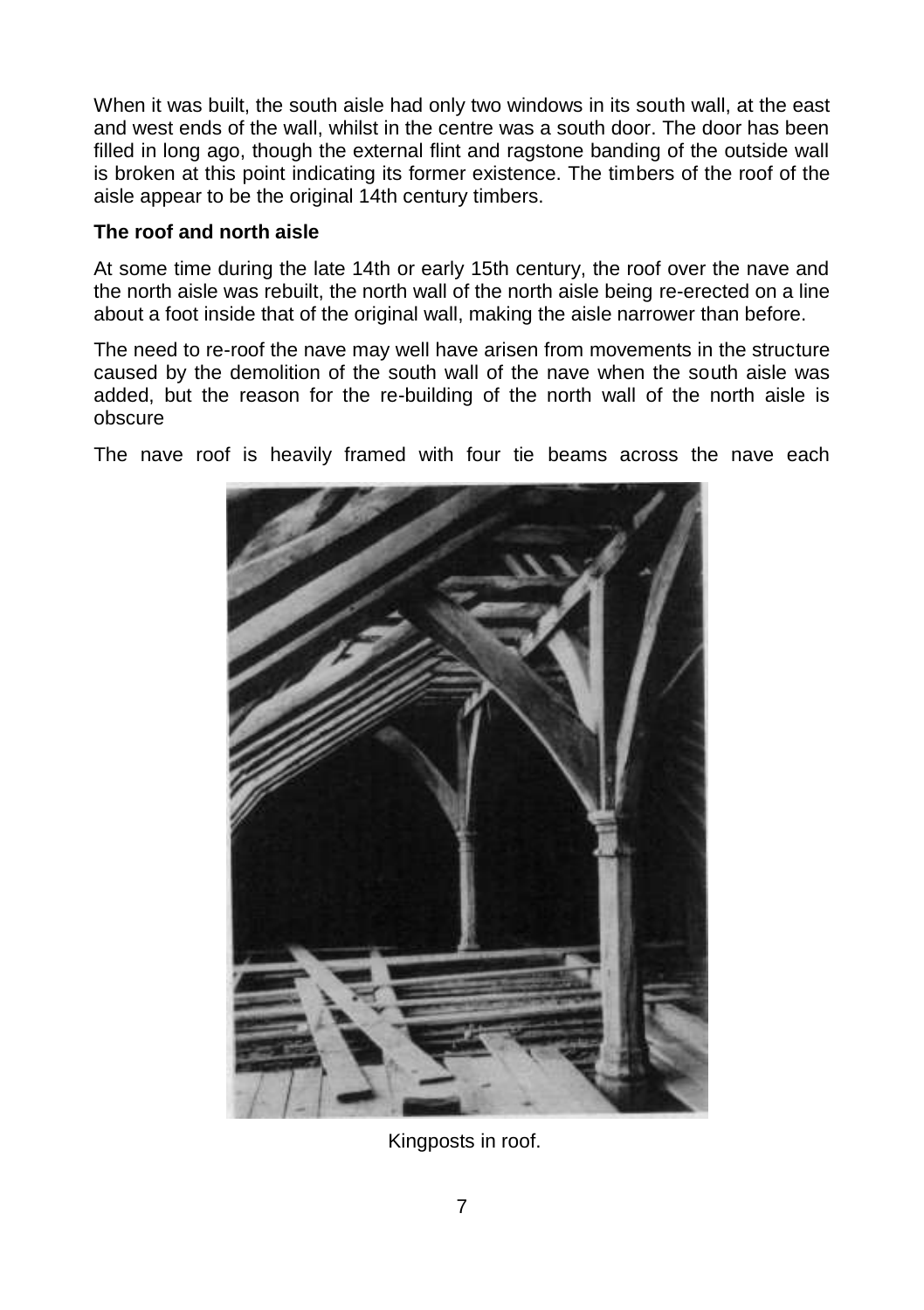When it was built, the south aisle had only two windows in its south wall, at the east and west ends of the wall, whilst in the centre was a south door. The door has been filled in long ago, though the external flint and ragstone banding of the outside wall is broken at this point indicating its former existence. The timbers of the roof of the aisle appear to be the original 14th century timbers.

#### **The roof and north aisle**

At some time during the late 14th or early 15th century, the roof over the nave and the north aisle was rebuilt, the north wall of the north aisle being re-erected on a line about a foot inside that of the original wall, making the aisle narrower than before.

The need to re-roof the nave may well have arisen from movements in the structure caused by the demolition of the south wall of the nave when the south aisle was added, but the reason for the re-building of the north wall of the north aisle is obscure

The nave roof is heavily framed with four tie beams across the nave each



Kingposts in roof.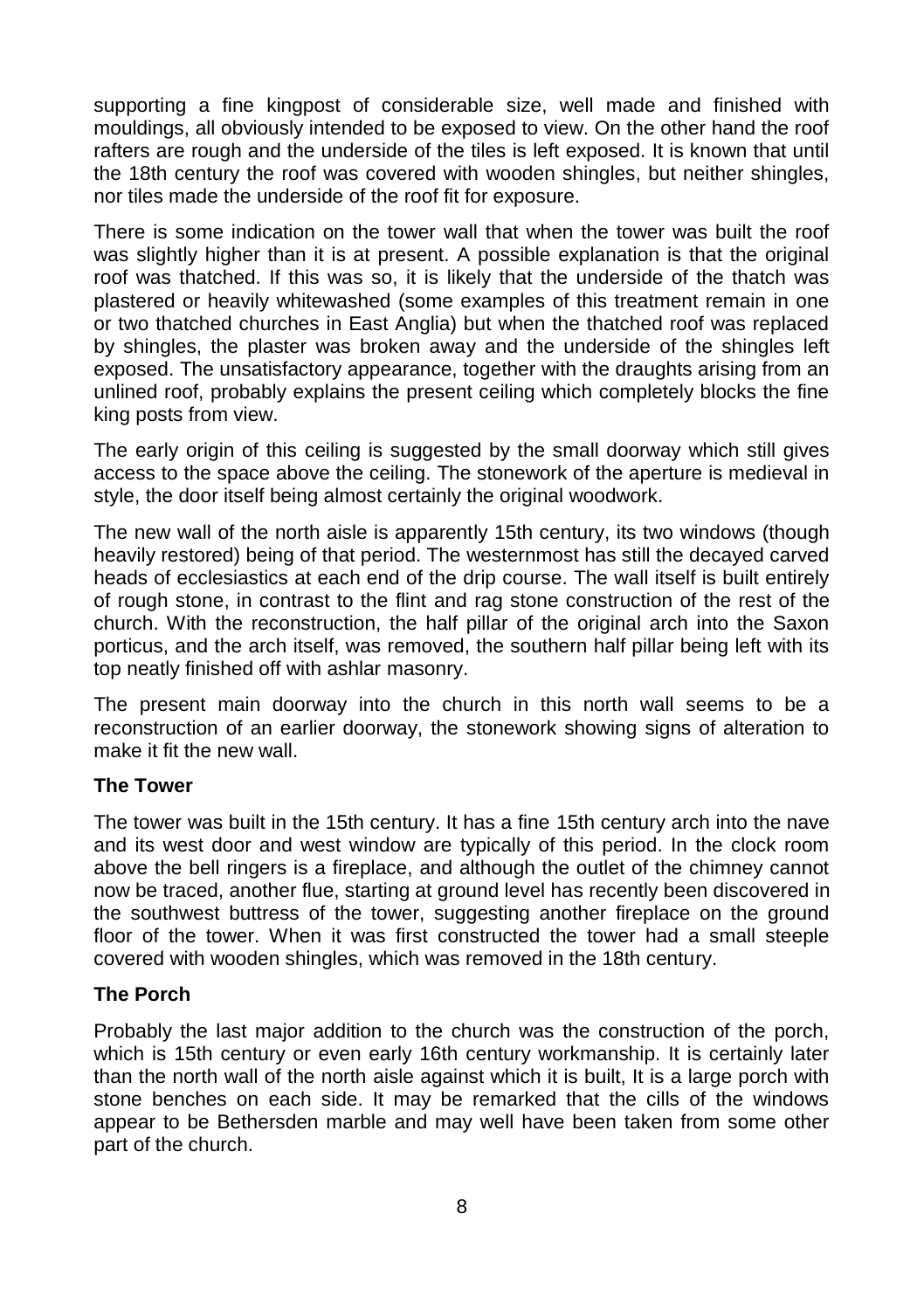supporting a fine kingpost of considerable size, well made and finished with mouldings, all obviously intended to be exposed to view. On the other hand the roof rafters are rough and the underside of the tiles is left exposed. It is known that until the 18th century the roof was covered with wooden shingles, but neither shingles, nor tiles made the underside of the roof fit for exposure.

There is some indication on the tower wall that when the tower was built the roof was slightly higher than it is at present. A possible explanation is that the original roof was thatched. If this was so, it is likely that the underside of the thatch was plastered or heavily whitewashed (some examples of this treatment remain in one or two thatched churches in East Anglia) but when the thatched roof was replaced by shingles, the plaster was broken away and the underside of the shingles left exposed. The unsatisfactory appearance, together with the draughts arising from an unlined roof, probably explains the present ceiling which completely blocks the fine king posts from view.

The early origin of this ceiling is suggested by the small doorway which still gives access to the space above the ceiling. The stonework of the aperture is medieval in style, the door itself being almost certainly the original woodwork.

The new wall of the north aisle is apparently 15th century, its two windows (though heavily restored) being of that period. The westernmost has still the decayed carved heads of ecclesiastics at each end of the drip course. The wall itself is built entirely of rough stone, in contrast to the flint and rag stone construction of the rest of the church. With the reconstruction, the half pillar of the original arch into the Saxon porticus, and the arch itself, was removed, the southern half pillar being left with its top neatly finished off with ashlar masonry.

The present main doorway into the church in this north wall seems to be a reconstruction of an earlier doorway, the stonework showing signs of alteration to make it fit the new wall.

#### **The Tower**

The tower was built in the 15th century. It has a fine 15th century arch into the nave and its west door and west window are typically of this period. In the clock room above the bell ringers is a fireplace, and although the outlet of the chimney cannot now be traced, another flue, starting at ground level has recently been discovered in the southwest buttress of the tower, suggesting another fireplace on the ground floor of the tower. When it was first constructed the tower had a small steeple covered with wooden shingles, which was removed in the 18th century.

#### **The Porch**

Probably the last major addition to the church was the construction of the porch, which is 15th century or even early 16th century workmanship. It is certainly later than the north wall of the north aisle against which it is built, It is a large porch with stone benches on each side. It may be remarked that the cills of the windows appear to be Bethersden marble and may well have been taken from some other part of the church.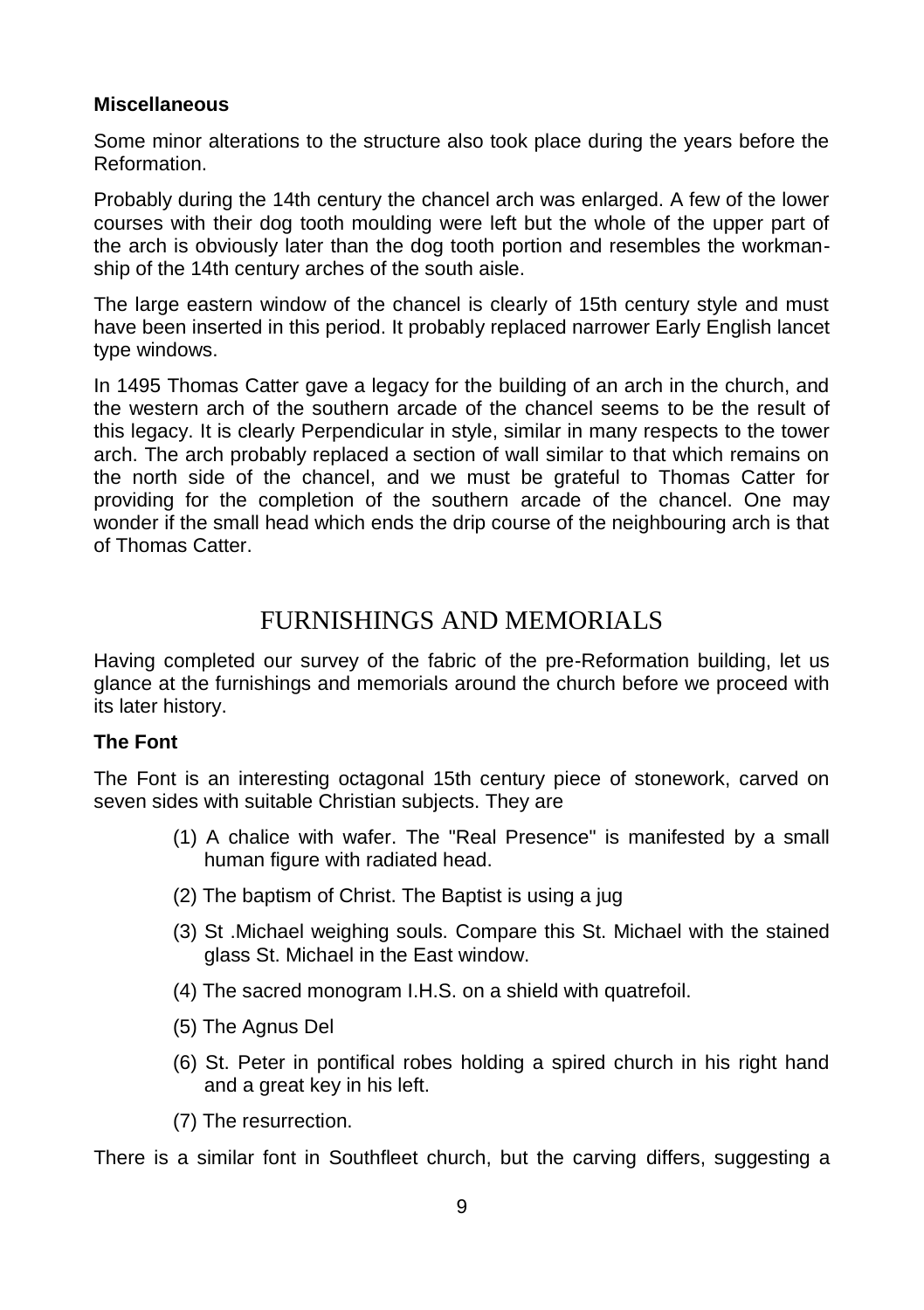#### **Miscellaneous**

Some minor alterations to the structure also took place during the years before the Reformation.

Probably during the 14th century the chancel arch was enlarged. A few of the lower courses with their dog tooth moulding were left but the whole of the upper part of the arch is obviously later than the dog tooth portion and resembles the workmanship of the 14th century arches of the south aisle.

The large eastern window of the chancel is clearly of 15th century style and must have been inserted in this period. It probably replaced narrower Early English lancet type windows.

In 1495 Thomas Catter gave a legacy for the building of an arch in the church, and the western arch of the southern arcade of the chancel seems to be the result of this legacy. It is clearly Perpendicular in style, similar in many respects to the tower arch. The arch probably replaced a section of wall similar to that which remains on the north side of the chancel, and we must be grateful to Thomas Catter for providing for the completion of the southern arcade of the chancel. One may wonder if the small head which ends the drip course of the neighbouring arch is that of Thomas Catter.

## FURNISHINGS AND MEMORIALS

Having completed our survey of the fabric of the pre-Reformation building, let us glance at the furnishings and memorials around the church before we proceed with its later history.

#### **The Font**

The Font is an interesting octagonal 15th century piece of stonework, carved on seven sides with suitable Christian subjects. They are

- (1) A chalice with wafer. The "Real Presence" is manifested by a small human figure with radiated head.
- (2) The baptism of Christ. The Baptist is using a jug
- (3) St .Michael weighing souls. Compare this St. Michael with the stained glass St. Michael in the East window.
- (4) The sacred monogram I.H.S. on a shield with quatrefoil.
- (5) The Agnus Del
- (6) St. Peter in pontifical robes holding a spired church in his right hand and a great key in his left.
- (7) The resurrection.

There is a similar font in Southfleet church, but the carving differs, suggesting a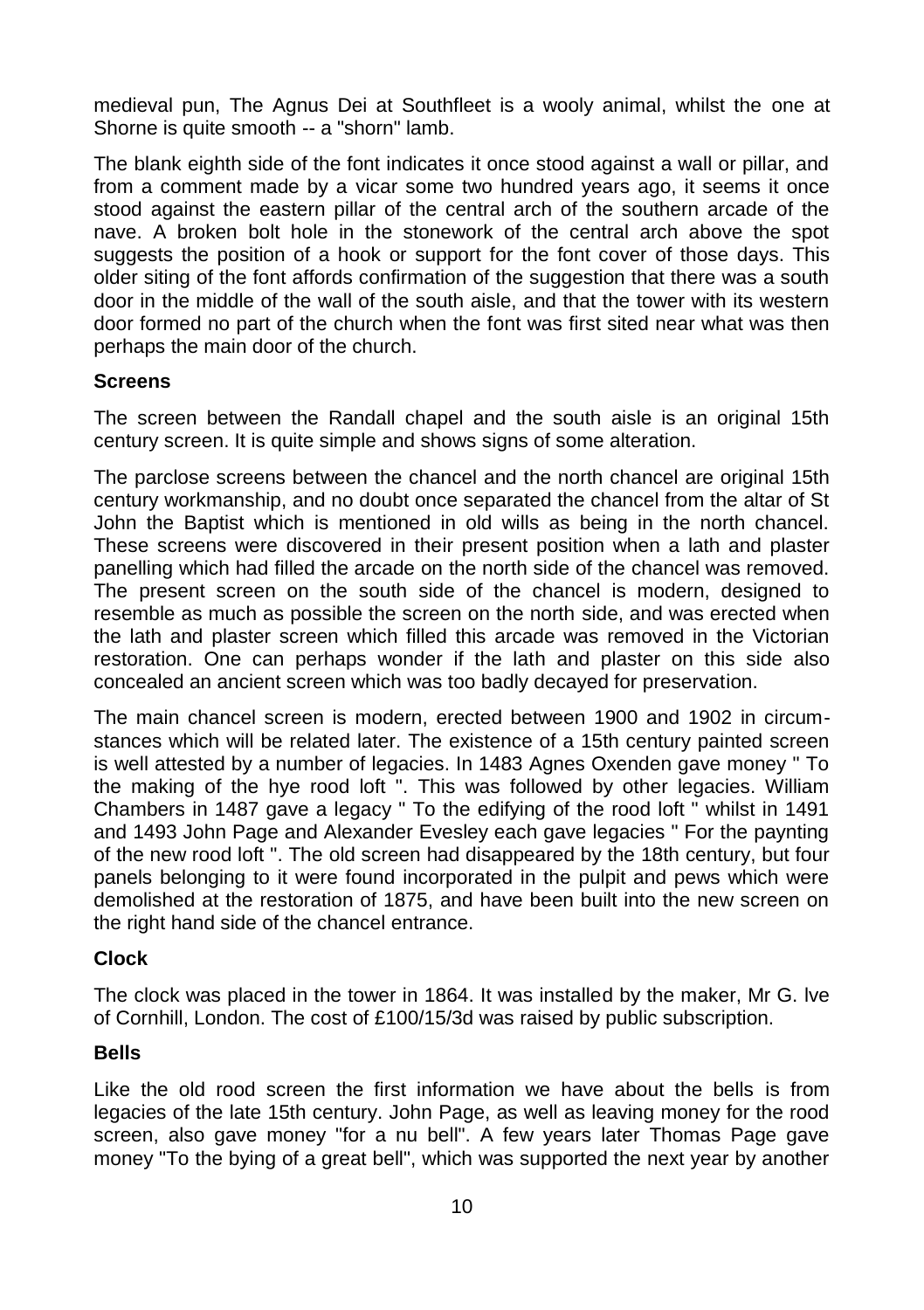medieval pun, The Agnus Dei at Southfleet is a wooly animal, whilst the one at Shorne is quite smooth -- a "shorn" lamb.

The blank eighth side of the font indicates it once stood against a wall or pillar, and from a comment made by a vicar some two hundred years ago, it seems it once stood against the eastern pillar of the central arch of the southern arcade of the nave. A broken bolt hole in the stonework of the central arch above the spot suggests the position of a hook or support for the font cover of those days. This older siting of the font affords confirmation of the suggestion that there was a south door in the middle of the wall of the south aisle, and that the tower with its western door formed no part of the church when the font was first sited near what was then perhaps the main door of the church.

#### **Screens**

The screen between the Randall chapel and the south aisle is an original 15th century screen. It is quite simple and shows signs of some alteration.

The parclose screens between the chancel and the north chancel are original 15th century workmanship, and no doubt once separated the chancel from the altar of St John the Baptist which is mentioned in old wills as being in the north chancel. These screens were discovered in their present position when a lath and plaster panelling which had filled the arcade on the north side of the chancel was removed. The present screen on the south side of the chancel is modern, designed to resemble as much as possible the screen on the north side, and was erected when the lath and plaster screen which filled this arcade was removed in the Victorian restoration. One can perhaps wonder if the lath and plaster on this side also concealed an ancient screen which was too badly decayed for preservation.

The main chancel screen is modern, erected between 1900 and 1902 in circumstances which will be related later. The existence of a 15th century painted screen is well attested by a number of legacies. In 1483 Agnes Oxenden gave money " To the making of the hye rood loft ". This was followed by other legacies. William Chambers in 1487 gave a legacy " To the edifying of the rood loft " whilst in 1491 and 1493 John Page and Alexander Evesley each gave legacies " For the paynting of the new rood loft ". The old screen had disappeared by the 18th century, but four panels belonging to it were found incorporated in the pulpit and pews which were demolished at the restoration of 1875, and have been built into the new screen on the right hand side of the chancel entrance.

#### **Clock**

The clock was placed in the tower in 1864. It was installed by the maker, Mr G. lve of Cornhill, London. The cost of £100/15/3d was raised by public subscription.

#### **Bells**

Like the old rood screen the first information we have about the bells is from legacies of the late 15th century. John Page, as well as leaving money for the rood screen, also gave money "for a nu bell". A few years later Thomas Page gave money "To the bying of a great bell", which was supported the next year by another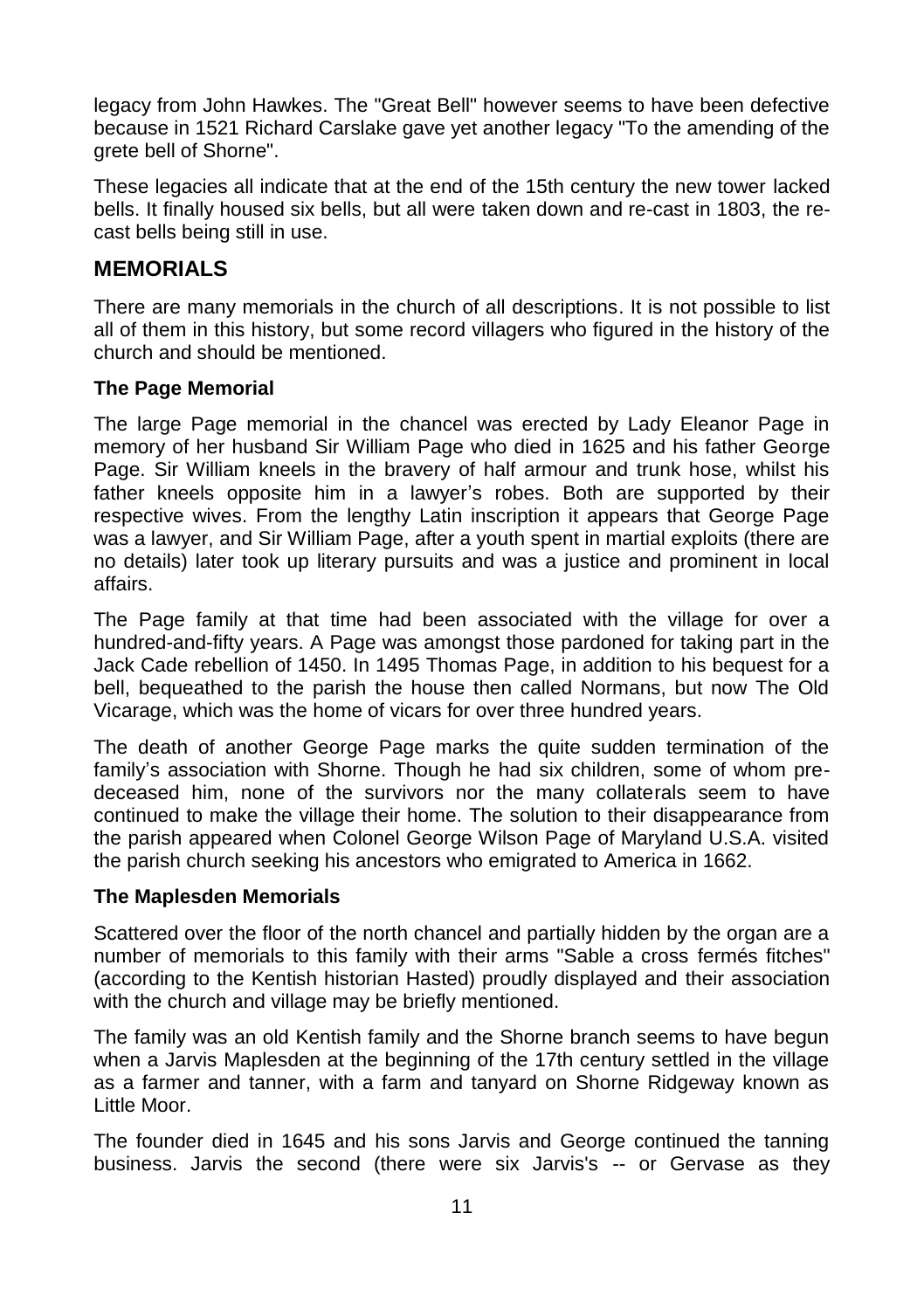legacy from John Hawkes. The "Great Bell" however seems to have been defective because in 1521 Richard Carslake gave yet another legacy "To the amending of the grete bell of Shorne".

These legacies all indicate that at the end of the 15th century the new tower lacked bells. It finally housed six bells, but all were taken down and re-cast in 1803, the recast bells being still in use.

#### **MEMORIALS**

There are many memorials in the church of all descriptions. It is not possible to list all of them in this history, but some record villagers who figured in the history of the church and should be mentioned.

#### **The Page Memorial**

The large Page memorial in the chancel was erected by Lady Eleanor Page in memory of her husband Sir William Page who died in 1625 and his father George Page. Sir William kneels in the bravery of half armour and trunk hose, whilst his father kneels opposite him in a lawyer's robes. Both are supported by their respective wives. From the lengthy Latin inscription it appears that George Page was a lawyer, and Sir William Page, after a youth spent in martial exploits (there are no details) later took up literary pursuits and was a justice and prominent in local affairs.

The Page family at that time had been associated with the village for over a hundred-and-fifty years. A Page was amongst those pardoned for taking part in the Jack Cade rebellion of 1450. In 1495 Thomas Page, in addition to his bequest for a bell, bequeathed to the parish the house then called Normans, but now The Old Vicarage, which was the home of vicars for over three hundred years.

The death of another George Page marks the quite sudden termination of the family's association with Shorne. Though he had six children, some of whom predeceased him, none of the survivors nor the many collaterals seem to have continued to make the village their home. The solution to their disappearance from the parish appeared when Colonel George Wilson Page of Maryland U.S.A. visited the parish church seeking his ancestors who emigrated to America in 1662.

#### **The Maplesden Memorials**

Scattered over the floor of the north chancel and partially hidden by the organ are a number of memorials to this family with their arms "Sable a cross fermés fitches" (according to the Kentish historian Hasted) proudly displayed and their association with the church and village may be briefly mentioned.

The family was an old Kentish family and the Shorne branch seems to have begun when a Jarvis Maplesden at the beginning of the 17th century settled in the village as a farmer and tanner, with a farm and tanyard on Shorne Ridgeway known as Little Moor.

The founder died in 1645 and his sons Jarvis and George continued the tanning business. Jarvis the second (there were six Jarvis's -- or Gervase as they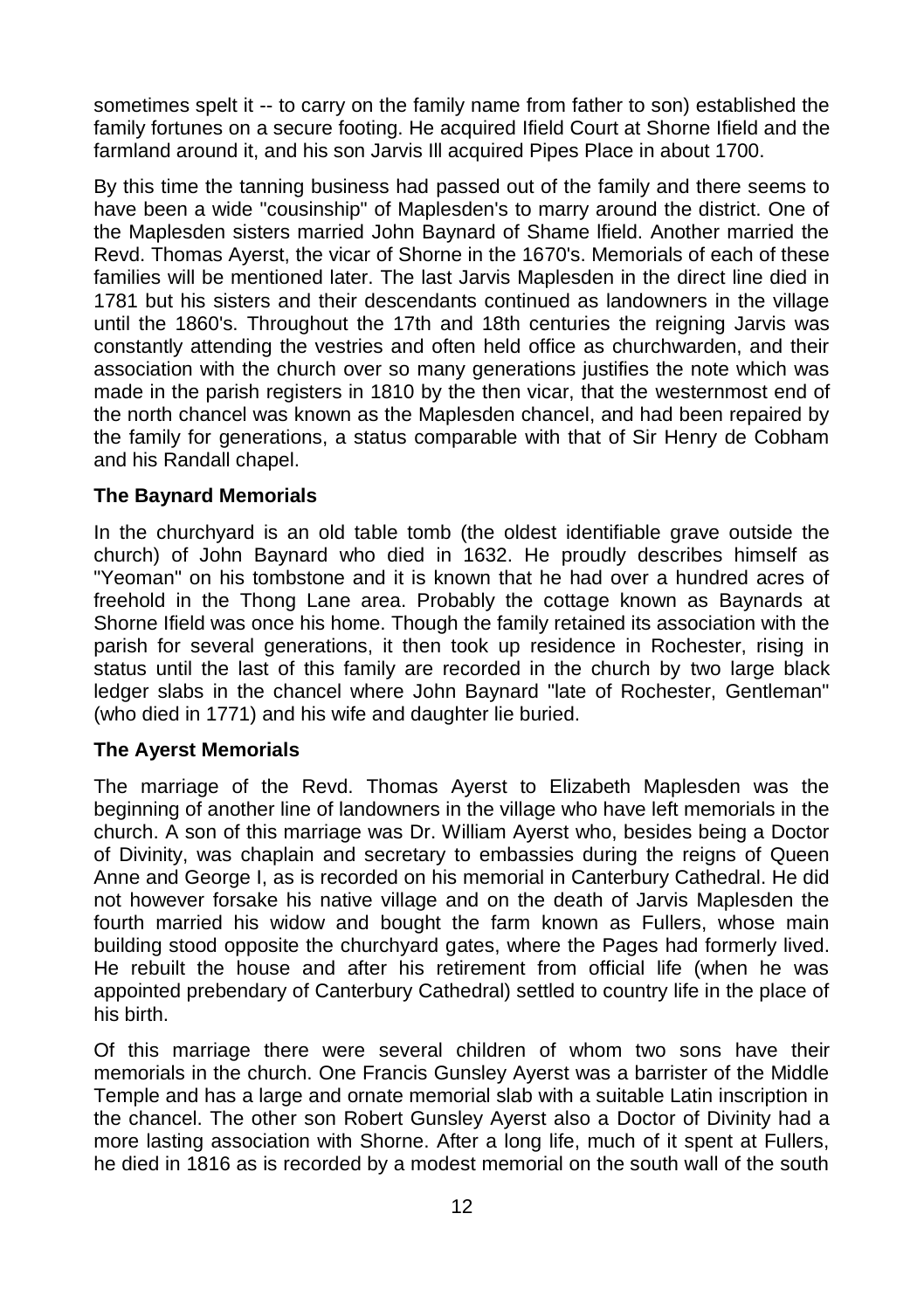sometimes spelt it -- to carry on the family name from father to son) established the family fortunes on a secure footing. He acquired Ifield Court at Shorne Ifield and the farmland around it, and his son Jarvis Ill acquired Pipes Place in about 1700.

By this time the tanning business had passed out of the family and there seems to have been a wide "cousinship" of Maplesden's to marry around the district. One of the Maplesden sisters married John Baynard of Shame lfield. Another married the Revd. Thomas Ayerst, the vicar of Shorne in the 1670's. Memorials of each of these families will be mentioned later. The last Jarvis Maplesden in the direct line died in 1781 but his sisters and their descendants continued as landowners in the village until the 1860's. Throughout the 17th and 18th centuries the reigning Jarvis was constantly attending the vestries and often held office as churchwarden, and their association with the church over so many generations justifies the note which was made in the parish registers in 1810 by the then vicar, that the westernmost end of the north chancel was known as the Maplesden chancel, and had been repaired by the family for generations, a status comparable with that of Sir Henry de Cobham and his Randall chapel.

#### **The Baynard Memorials**

In the churchyard is an old table tomb (the oldest identifiable grave outside the church) of John Baynard who died in 1632. He proudly describes himself as "Yeoman" on his tombstone and it is known that he had over a hundred acres of freehold in the Thong Lane area. Probably the cottage known as Baynards at Shorne Ifield was once his home. Though the family retained its association with the parish for several generations, it then took up residence in Rochester, rising in status until the last of this family are recorded in the church by two large black ledger slabs in the chancel where John Baynard "late of Rochester, Gentleman" (who died in 1771) and his wife and daughter lie buried.

#### **The Ayerst Memorials**

The marriage of the Revd. Thomas Ayerst to Elizabeth Maplesden was the beginning of another line of landowners in the village who have left memorials in the church. A son of this marriage was Dr. William Ayerst who, besides being a Doctor of Divinity, was chaplain and secretary to embassies during the reigns of Queen Anne and George I, as is recorded on his memorial in Canterbury Cathedral. He did not however forsake his native village and on the death of Jarvis Maplesden the fourth married his widow and bought the farm known as Fullers, whose main building stood opposite the churchyard gates, where the Pages had formerly lived. He rebuilt the house and after his retirement from official life (when he was appointed prebendary of Canterbury Cathedral) settled to country life in the place of his birth.

Of this marriage there were several children of whom two sons have their memorials in the church. One Francis Gunsley Ayerst was a barrister of the Middle Temple and has a large and ornate memorial slab with a suitable Latin inscription in the chancel. The other son Robert Gunsley Ayerst also a Doctor of Divinity had a more lasting association with Shorne. After a long life, much of it spent at Fullers, he died in 1816 as is recorded by a modest memorial on the south wall of the south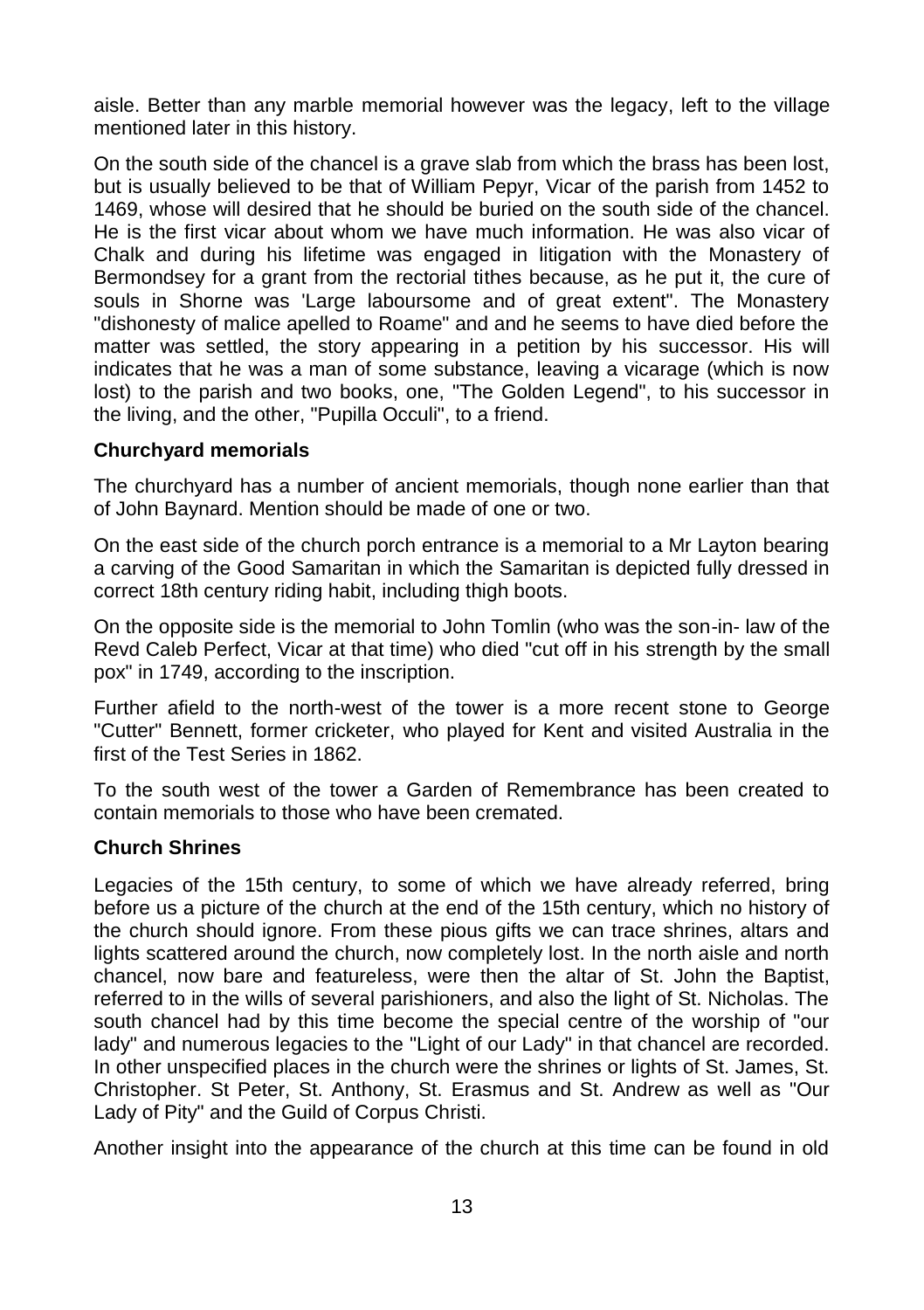aisle. Better than any marble memorial however was the legacy, left to the village mentioned later in this history.

On the south side of the chancel is a grave slab from which the brass has been lost, but is usually believed to be that of William Pepyr, Vicar of the parish from 1452 to 1469, whose will desired that he should be buried on the south side of the chancel. He is the first vicar about whom we have much information. He was also vicar of Chalk and during his lifetime was engaged in litigation with the Monastery of Bermondsey for a grant from the rectorial tithes because, as he put it, the cure of souls in Shorne was 'Large laboursome and of great extent". The Monastery "dishonesty of malice apelled to Roame" and and he seems to have died before the matter was settled, the story appearing in a petition by his successor. His will indicates that he was a man of some substance, leaving a vicarage (which is now lost) to the parish and two books, one, "The Golden Legend", to his successor in the living, and the other, "Pupilla Occuli", to a friend.

#### **Churchyard memorials**

The churchyard has a number of ancient memorials, though none earlier than that of John Baynard. Mention should be made of one or two.

On the east side of the church porch entrance is a memorial to a Mr Layton bearing a carving of the Good Samaritan in which the Samaritan is depicted fully dressed in correct 18th century riding habit, including thigh boots.

On the opposite side is the memorial to John Tomlin (who was the son-in- law of the Revd Caleb Perfect, Vicar at that time) who died "cut off in his strength by the small pox" in 1749, according to the inscription.

Further afield to the north-west of the tower is a more recent stone to George "Cutter" Bennett, former cricketer, who played for Kent and visited Australia in the first of the Test Series in 1862.

To the south west of the tower a Garden of Remembrance has been created to contain memorials to those who have been cremated.

#### **Church Shrines**

Legacies of the 15th century, to some of which we have already referred, bring before us a picture of the church at the end of the 15th century, which no history of the church should ignore. From these pious gifts we can trace shrines, altars and lights scattered around the church, now completely lost. In the north aisle and north chancel, now bare and featureless, were then the altar of St. John the Baptist, referred to in the wills of several parishioners, and also the light of St. Nicholas. The south chancel had by this time become the special centre of the worship of "our lady" and numerous legacies to the "Light of our Lady" in that chancel are recorded. In other unspecified places in the church were the shrines or lights of St. James, St. Christopher. St Peter, St. Anthony, St. Erasmus and St. Andrew as well as "Our Lady of Pity" and the Guild of Corpus Christi.

Another insight into the appearance of the church at this time can be found in old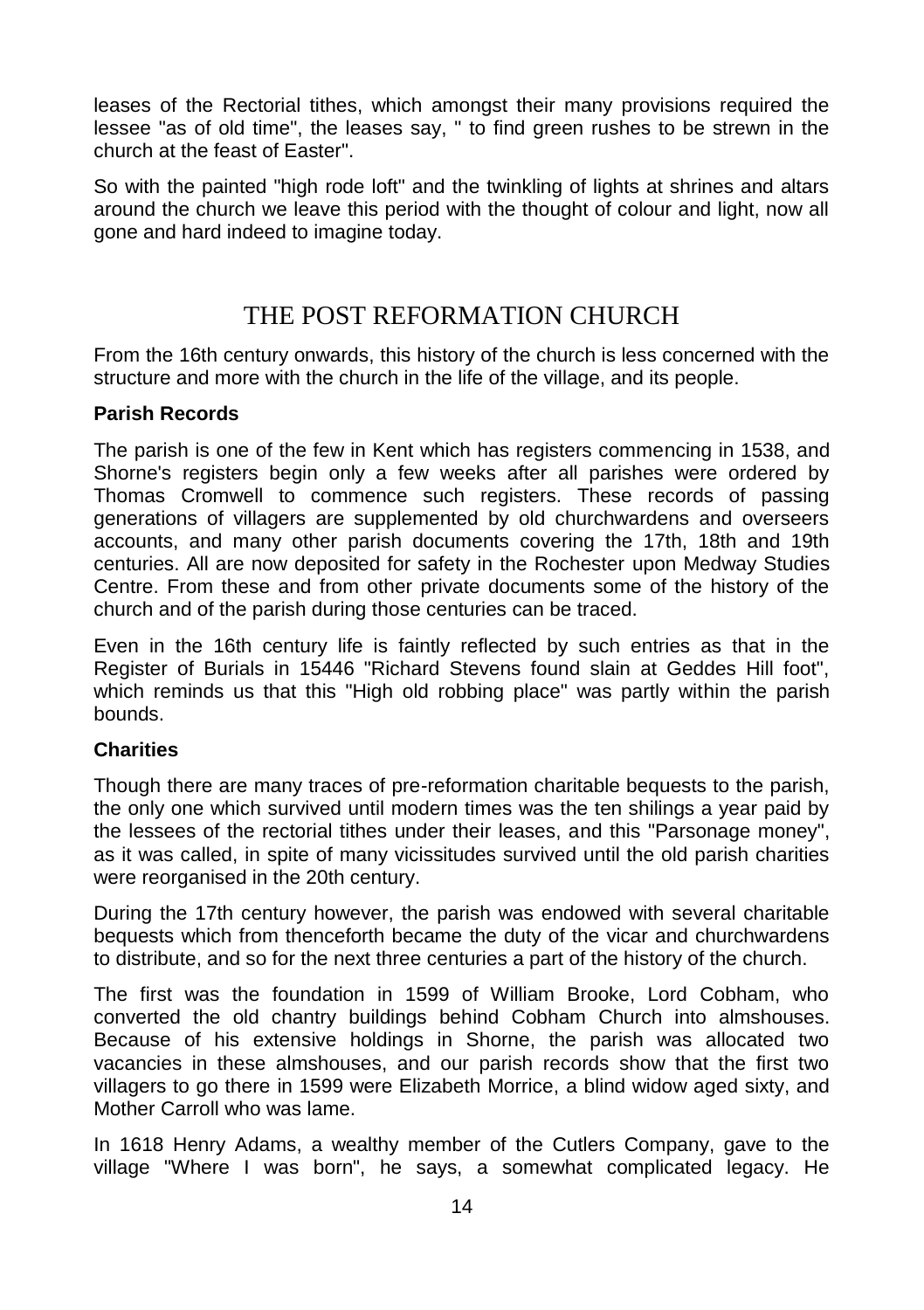leases of the Rectorial tithes, which amongst their many provisions required the lessee "as of old time", the leases say, " to find green rushes to be strewn in the church at the feast of Easter".

So with the painted "high rode loft" and the twinkling of lights at shrines and altars around the church we leave this period with the thought of colour and light, now all gone and hard indeed to imagine today.

## THE POST REFORMATION CHURCH

From the 16th century onwards, this history of the church is less concerned with the structure and more with the church in the life of the village, and its people.

#### **Parish Records**

The parish is one of the few in Kent which has registers commencing in 1538, and Shorne's registers begin only a few weeks after all parishes were ordered by Thomas Cromwell to commence such registers. These records of passing generations of villagers are supplemented by old churchwardens and overseers accounts, and many other parish documents covering the 17th, 18th and 19th centuries. All are now deposited for safety in the Rochester upon Medway Studies Centre. From these and from other private documents some of the history of the church and of the parish during those centuries can be traced.

Even in the 16th century life is faintly reflected by such entries as that in the Register of Burials in 15446 "Richard Stevens found slain at Geddes Hill foot", which reminds us that this "High old robbing place" was partly within the parish bounds.

#### **Charities**

Though there are many traces of pre-reformation charitable bequests to the parish, the only one which survived until modern times was the ten shilings a year paid by the lessees of the rectorial tithes under their leases, and this "Parsonage money", as it was called, in spite of many vicissitudes survived until the old parish charities were reorganised in the 20th century.

During the 17th century however, the parish was endowed with several charitable bequests which from thenceforth became the duty of the vicar and churchwardens to distribute, and so for the next three centuries a part of the history of the church.

The first was the foundation in 1599 of William Brooke, Lord Cobham, who converted the old chantry buildings behind Cobham Church into almshouses. Because of his extensive holdings in Shorne, the parish was allocated two vacancies in these almshouses, and our parish records show that the first two villagers to go there in 1599 were Elizabeth Morrice, a blind widow aged sixty, and Mother Carroll who was lame.

In 1618 Henry Adams, a wealthy member of the Cutlers Company, gave to the village "Where I was born", he says, a somewhat complicated legacy. He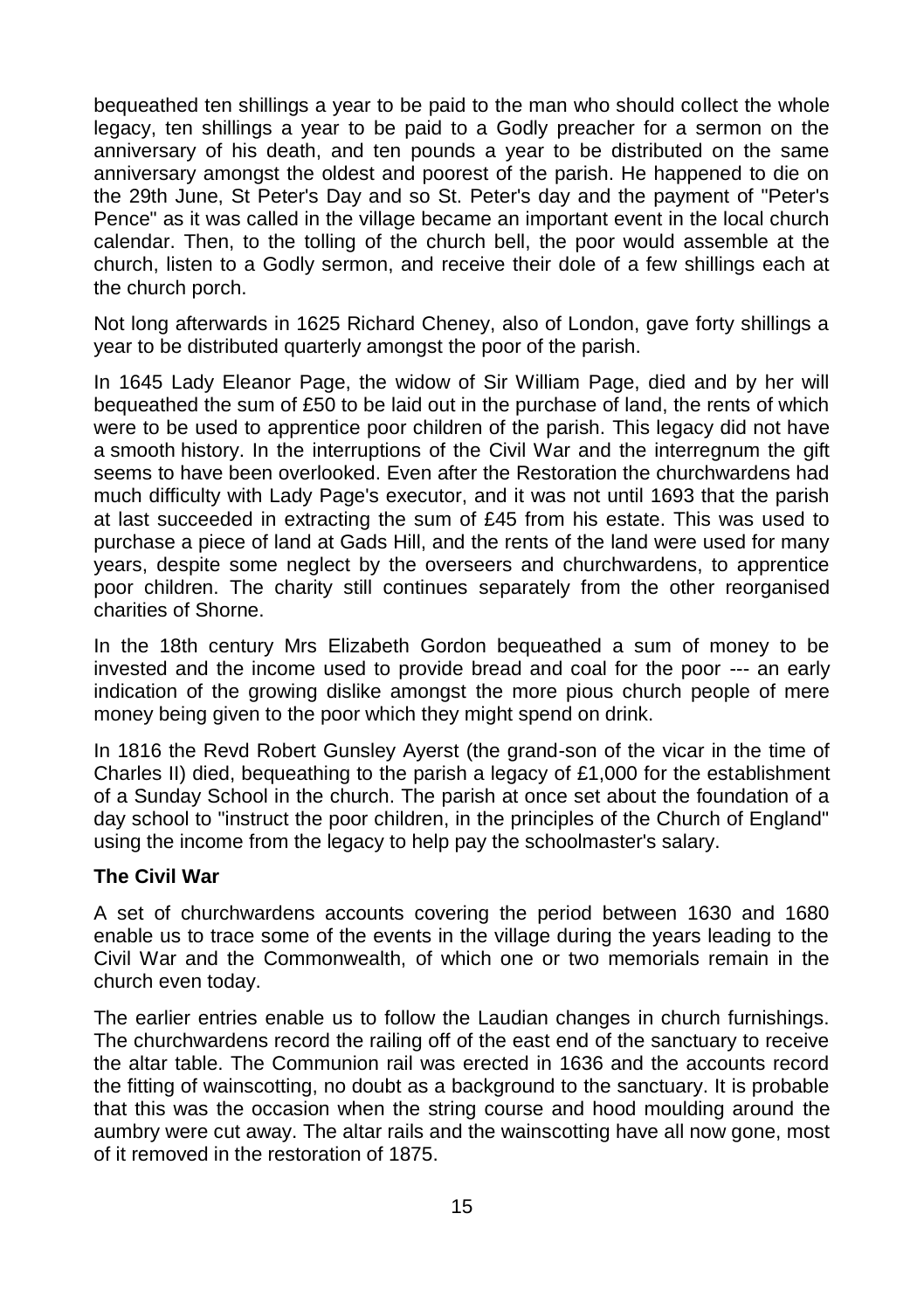bequeathed ten shillings a year to be paid to the man who should collect the whole legacy, ten shillings a year to be paid to a Godly preacher for a sermon on the anniversary of his death, and ten pounds a year to be distributed on the same anniversary amongst the oldest and poorest of the parish. He happened to die on the 29th June, St Peter's Day and so St. Peter's day and the payment of "Peter's Pence" as it was called in the village became an important event in the local church calendar. Then, to the tolling of the church bell, the poor would assemble at the church, listen to a Godly sermon, and receive their dole of a few shillings each at the church porch.

Not long afterwards in 1625 Richard Cheney, also of London, gave forty shillings a year to be distributed quarterly amongst the poor of the parish.

In 1645 Lady Eleanor Page, the widow of Sir William Page, died and by her will bequeathed the sum of £50 to be laid out in the purchase of land, the rents of which were to be used to apprentice poor children of the parish. This legacy did not have a smooth history. In the interruptions of the Civil War and the interregnum the gift seems to have been overlooked. Even after the Restoration the churchwardens had much difficulty with Lady Page's executor, and it was not until 1693 that the parish at last succeeded in extracting the sum of £45 from his estate. This was used to purchase a piece of land at Gads Hill, and the rents of the land were used for many years, despite some neglect by the overseers and churchwardens, to apprentice poor children. The charity still continues separately from the other reorganised charities of Shorne.

In the 18th century Mrs Elizabeth Gordon bequeathed a sum of money to be invested and the income used to provide bread and coal for the poor --- an early indication of the growing dislike amongst the more pious church people of mere money being given to the poor which they might spend on drink.

In 1816 the Revd Robert Gunsley Ayerst (the grand-son of the vicar in the time of Charles II) died, bequeathing to the parish a legacy of £1,000 for the establishment of a Sunday School in the church. The parish at once set about the foundation of a day school to "instruct the poor children, in the principles of the Church of England" using the income from the legacy to help pay the schoolmaster's salary.

#### **The Civil War**

A set of churchwardens accounts covering the period between 1630 and 1680 enable us to trace some of the events in the village during the years leading to the Civil War and the Commonwealth, of which one or two memorials remain in the church even today.

The earlier entries enable us to follow the Laudian changes in church furnishings. The churchwardens record the railing off of the east end of the sanctuary to receive the altar table. The Communion rail was erected in 1636 and the accounts record the fitting of wainscotting, no doubt as a background to the sanctuary. It is probable that this was the occasion when the string course and hood moulding around the aumbry were cut away. The altar rails and the wainscotting have all now gone, most of it removed in the restoration of 1875.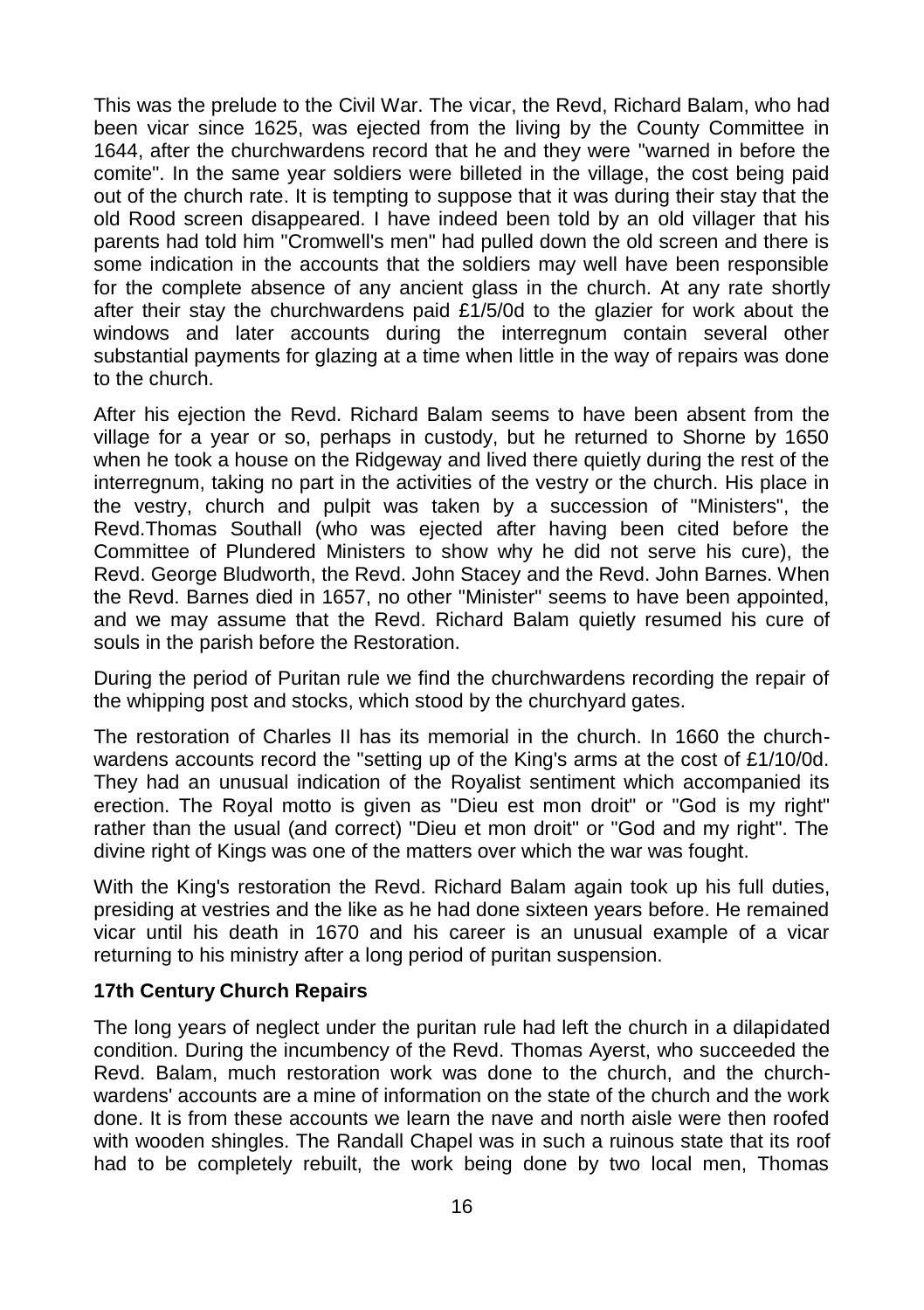This was the prelude to the Civil War. The vicar, the Revd, Richard Balam, who had been vicar since 1625, was ejected from the living by the County Committee in 1644, after the churchwardens record that he and they were "warned in before the comite". In the same year soldiers were billeted in the village, the cost being paid out of the church rate. It is tempting to suppose that it was during their stay that the old Rood screen disappeared. I have indeed been told by an old villager that his parents had told him "Cromwell's men" had pulled down the old screen and there is some indication in the accounts that the soldiers may well have been responsible for the complete absence of any ancient glass in the church. At any rate shortly after their stay the churchwardens paid £1/5/0d to the glazier for work about the windows and later accounts during the interregnum contain several other substantial payments for glazing at a time when little in the way of repairs was done to the church.

After his ejection the Revd. Richard Balam seems to have been absent from the village for a year or so, perhaps in custody, but he returned to Shorne by 1650 when he took a house on the Ridgeway and lived there quietly during the rest of the interregnum, taking no part in the activities of the vestry or the church. His place in the vestry, church and pulpit was taken by a succession of "Ministers", the Revd.Thomas Southall (who was ejected after having been cited before the Committee of Plundered Ministers to show why he did not serve his cure), the Revd. George Bludworth, the Revd. John Stacey and the Revd. John Barnes. When the Revd. Barnes died in 1657, no other "Minister" seems to have been appointed, and we may assume that the Revd. Richard Balam quietly resumed his cure of souls in the parish before the Restoration.

During the period of Puritan rule we find the churchwardens recording the repair of the whipping post and stocks, which stood by the churchyard gates.

The restoration of Charles II has its memorial in the church. In 1660 the churchwardens accounts record the "setting up of the King's arms at the cost of £1/10/0d. They had an unusual indication of the Royalist sentiment which accompanied its erection. The Royal motto is given as "Dieu est mon droit" or "God is my right" rather than the usual (and correct) "Dieu et mon droit" or "God and my right". The divine right of Kings was one of the matters over which the war was fought.

With the King's restoration the Revd. Richard Balam again took up his full duties, presiding at vestries and the like as he had done sixteen years before. He remained vicar until his death in 1670 and his career is an unusual example of a vicar returning to his ministry after a long period of puritan suspension.

#### **17th Century Church Repairs**

The long years of neglect under the puritan rule had left the church in a dilapidated condition. During the incumbency of the Revd. Thomas Ayerst, who succeeded the Revd. Balam, much restoration work was done to the church, and the churchwardens' accounts are a mine of information on the state of the church and the work done. It is from these accounts we learn the nave and north aisle were then roofed with wooden shingles. The Randall Chapel was in such a ruinous state that its roof had to be completely rebuilt, the work being done by two local men, Thomas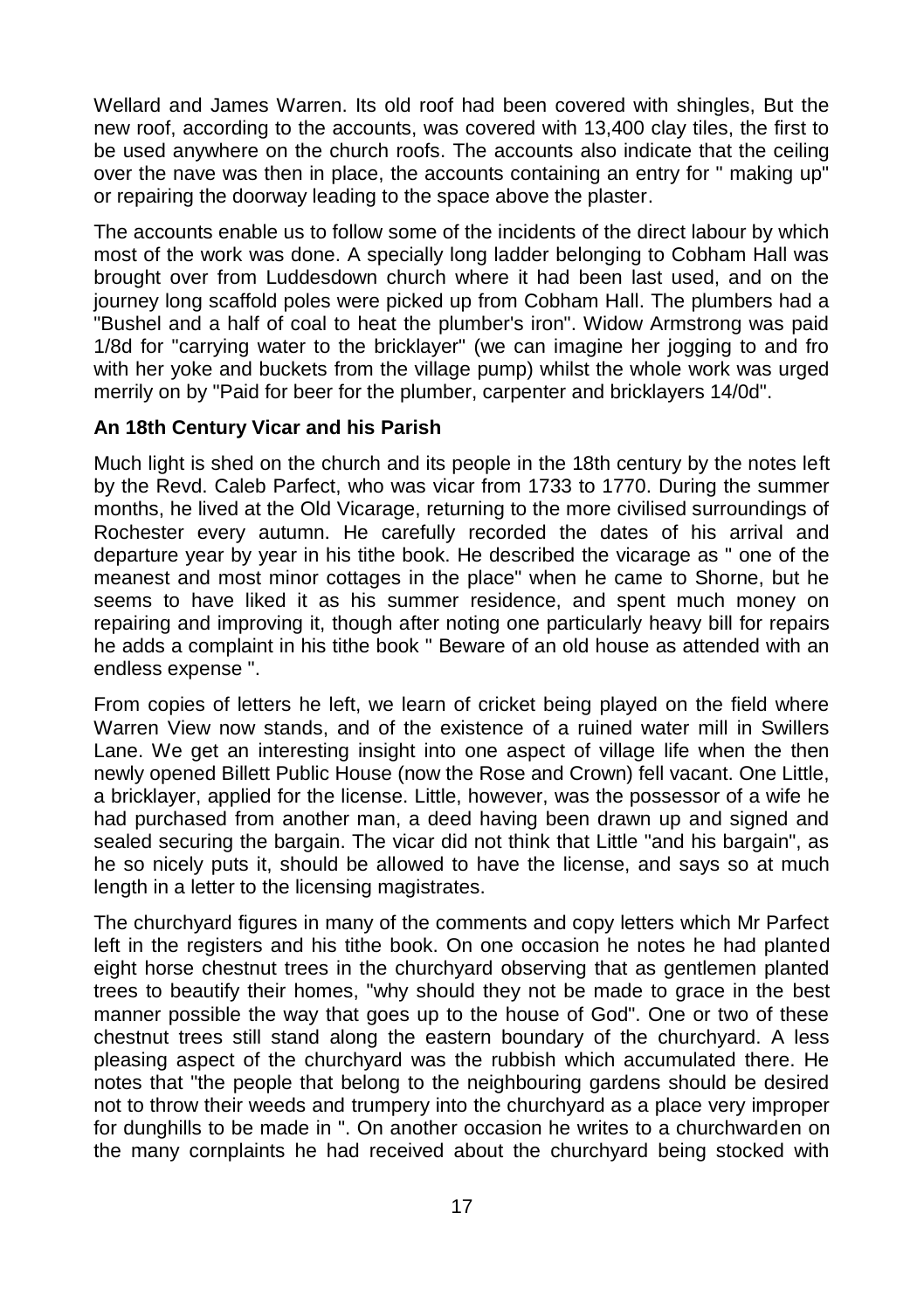Wellard and James Warren. Its old roof had been covered with shingles, But the new roof, according to the accounts, was covered with 13,400 clay tiles, the first to be used anywhere on the church roofs. The accounts also indicate that the ceiling over the nave was then in place, the accounts containing an entry for " making up" or repairing the doorway leading to the space above the plaster.

The accounts enable us to follow some of the incidents of the direct labour by which most of the work was done. A specially long ladder belonging to Cobham Hall was brought over from Luddesdown church where it had been last used, and on the journey long scaffold poles were picked up from Cobham Hall. The plumbers had a "Bushel and a half of coal to heat the plumber's iron". Widow Armstrong was paid 1/8d for "carrying water to the bricklayer" (we can imagine her jogging to and fro with her yoke and buckets from the village pump) whilst the whole work was urged merrily on by "Paid for beer for the plumber, carpenter and bricklayers 14/0d".

#### **An 18th Century Vicar and his Parish**

Much light is shed on the church and its people in the 18th century by the notes left by the Revd. Caleb Parfect, who was vicar from 1733 to 1770. During the summer months, he lived at the Old Vicarage, returning to the more civilised surroundings of Rochester every autumn. He carefully recorded the dates of his arrival and departure year by year in his tithe book. He described the vicarage as " one of the meanest and most minor cottages in the place" when he came to Shorne, but he seems to have liked it as his summer residence, and spent much money on repairing and improving it, though after noting one particularly heavy bill for repairs he adds a complaint in his tithe book " Beware of an old house as attended with an endless expense ".

From copies of letters he left, we learn of cricket being played on the field where Warren View now stands, and of the existence of a ruined water mill in Swillers Lane. We get an interesting insight into one aspect of village life when the then newly opened Billett Public House (now the Rose and Crown) fell vacant. One Little, a bricklayer, applied for the license. Little, however, was the possessor of a wife he had purchased from another man, a deed having been drawn up and signed and sealed securing the bargain. The vicar did not think that Little "and his bargain", as he so nicely puts it, should be allowed to have the license, and says so at much length in a letter to the licensing magistrates.

The churchyard figures in many of the comments and copy letters which Mr Parfect left in the registers and his tithe book. On one occasion he notes he had planted eight horse chestnut trees in the churchyard observing that as gentlemen planted trees to beautify their homes, "why should they not be made to grace in the best manner possible the way that goes up to the house of God". One or two of these chestnut trees still stand along the eastern boundary of the churchyard. A less pleasing aspect of the churchyard was the rubbish which accumulated there. He notes that "the people that belong to the neighbouring gardens should be desired not to throw their weeds and trumpery into the churchyard as a place very improper for dunghills to be made in ". On another occasion he writes to a churchwarden on the many cornplaints he had received about the churchyard being stocked with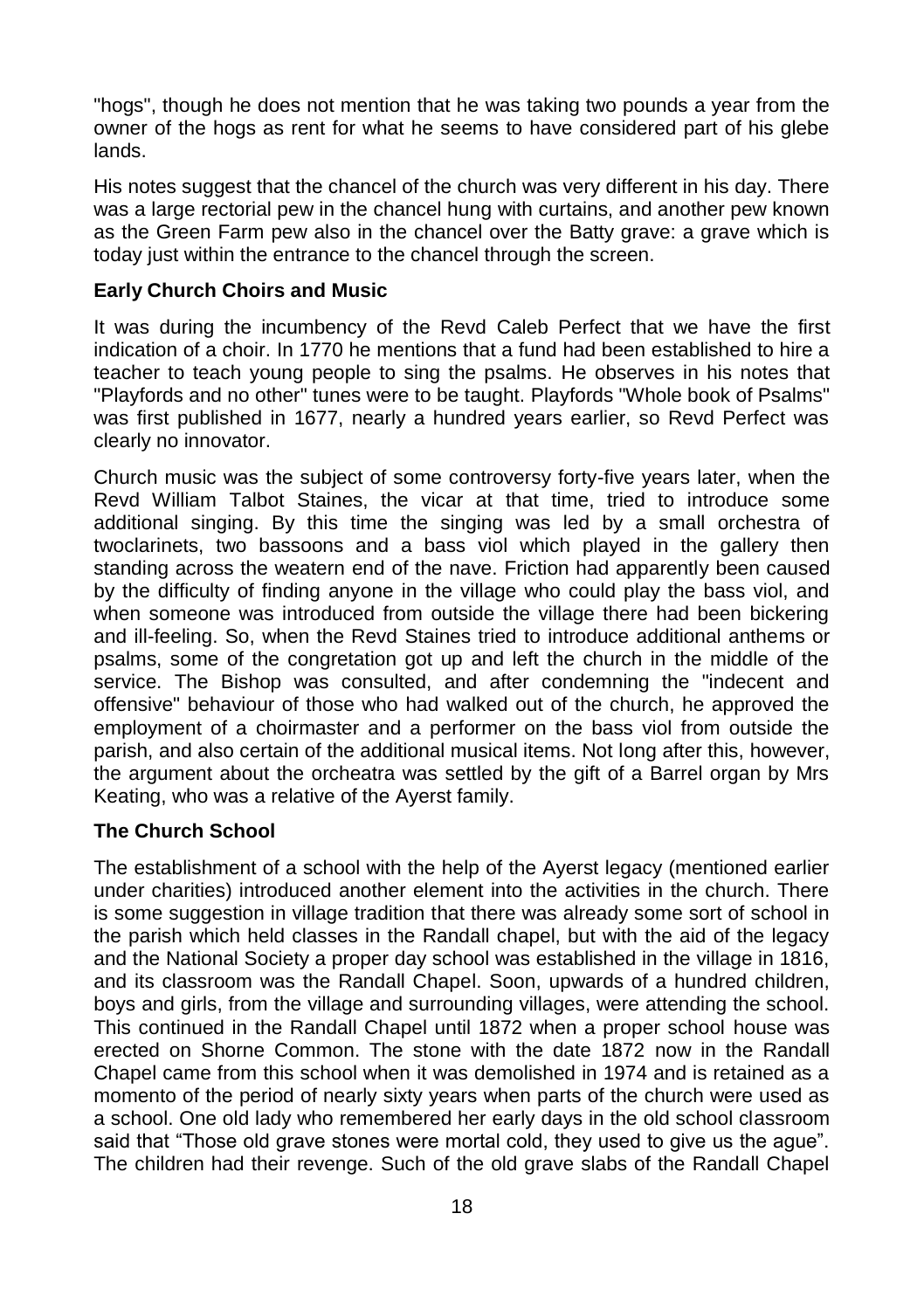"hogs", though he does not mention that he was taking two pounds a year from the owner of the hogs as rent for what he seems to have considered part of his glebe lands.

His notes suggest that the chancel of the church was very different in his day. There was a large rectorial pew in the chancel hung with curtains, and another pew known as the Green Farm pew also in the chancel over the Batty grave: a grave which is today just within the entrance to the chancel through the screen.

#### **Early Church Choirs and Music**

It was during the incumbency of the Revd Caleb Perfect that we have the first indication of a choir. In 1770 he mentions that a fund had been established to hire a teacher to teach young people to sing the psalms. He observes in his notes that "Playfords and no other" tunes were to be taught. Playfords "Whole book of Psalms" was first published in 1677, nearly a hundred years earlier, so Revd Perfect was clearly no innovator.

Church music was the subject of some controversy forty-five years later, when the Revd William Talbot Staines, the vicar at that time, tried to introduce some additional singing. By this time the singing was led by a small orchestra of twoclarinets, two bassoons and a bass viol which played in the gallery then standing across the weatern end of the nave. Friction had apparently been caused by the difficulty of finding anyone in the village who could play the bass viol, and when someone was introduced from outside the village there had been bickering and ill-feeling. So, when the Revd Staines tried to introduce additional anthems or psalms, some of the congretation got up and left the church in the middle of the service. The Bishop was consulted, and after condemning the "indecent and offensive" behaviour of those who had walked out of the church, he approved the employment of a choirmaster and a performer on the bass viol from outside the parish, and also certain of the additional musical items. Not long after this, however, the argument about the orcheatra was settled by the gift of a Barrel organ by Mrs Keating, who was a relative of the Ayerst family.

#### **The Church School**

The establishment of a school with the help of the Ayerst legacy (mentioned earlier under charities) introduced another element into the activities in the church. There is some suggestion in village tradition that there was already some sort of school in the parish which held classes in the Randall chapel, but with the aid of the legacy and the National Society a proper day school was established in the village in 1816, and its classroom was the Randall Chapel. Soon, upwards of a hundred children, boys and girls, from the village and surrounding villages, were attending the school. This continued in the Randall Chapel until 1872 when a proper school house was erected on Shorne Common. The stone with the date 1872 now in the Randall Chapel came from this school when it was demolished in 1974 and is retained as a momento of the period of nearly sixty years when parts of the church were used as a school. One old lady who remembered her early days in the old school classroom said that "Those old grave stones were mortal cold, they used to give us the ague". The children had their revenge. Such of the old grave slabs of the Randall Chapel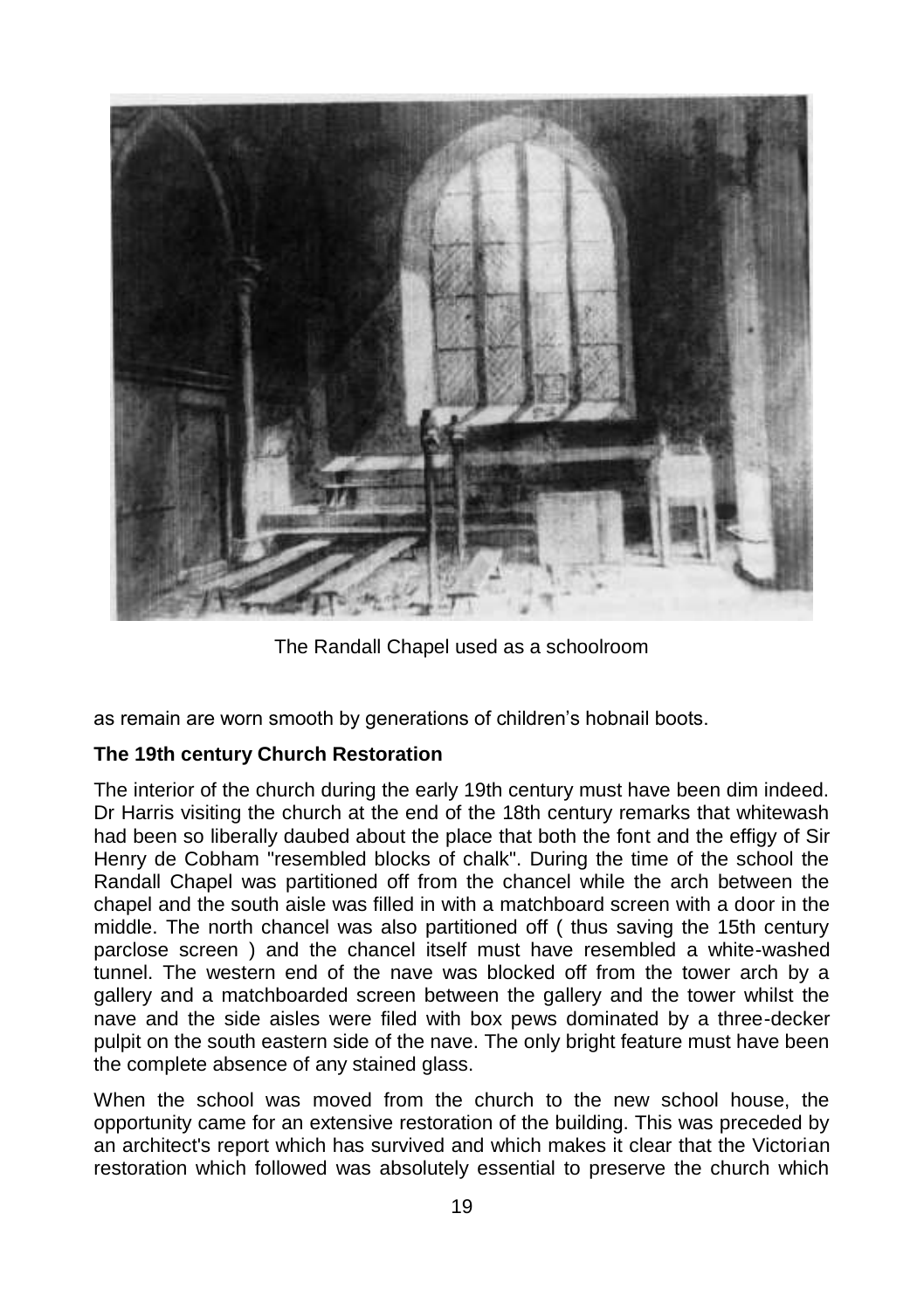

The Randall Chapel used as a schoolroom

as remain are worn smooth by generations of children's hobnail boots.

#### **The 19th century Church Restoration**

The interior of the church during the early 19th century must have been dim indeed. Dr Harris visiting the church at the end of the 18th century remarks that whitewash had been so liberally daubed about the place that both the font and the effigy of Sir Henry de Cobham "resembled blocks of chalk". During the time of the school the Randall Chapel was partitioned off from the chancel while the arch between the chapel and the south aisle was filled in with a matchboard screen with a door in the middle. The north chancel was also partitioned off ( thus saving the 15th century parclose screen ) and the chancel itself must have resembled a white-washed tunnel. The western end of the nave was blocked off from the tower arch by a gallery and a matchboarded screen between the gallery and the tower whilst the nave and the side aisles were filed with box pews dominated by a three-decker pulpit on the south eastern side of the nave. The only bright feature must have been the complete absence of any stained glass.

When the school was moved from the church to the new school house, the opportunity came for an extensive restoration of the building. This was preceded by an architect's report which has survived and which makes it clear that the Victorian restoration which followed was absolutely essential to preserve the church which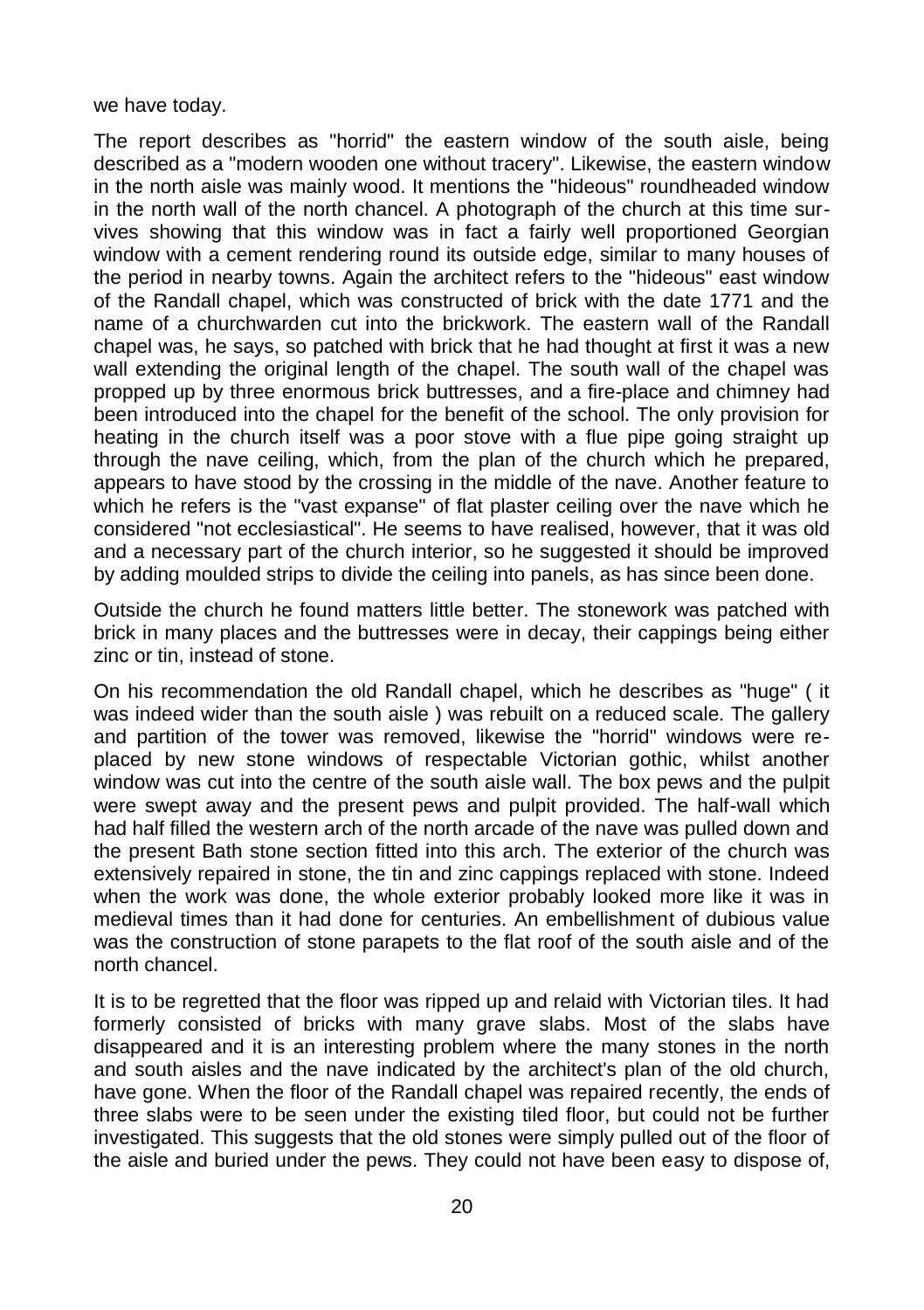we have today.

The report describes as "horrid" the eastern window of the south aisle, being described as a "modern wooden one without tracery". Likewise, the eastern window in the north aisle was mainly wood. It mentions the "hideous" roundheaded window in the north wall of the north chancel. A photograph of the church at this time survives showing that this window was in fact a fairly well proportioned Georgian window with a cement rendering round its outside edge, similar to many houses of the period in nearby towns. Again the architect refers to the "hideous" east window of the Randall chapel, which was constructed of brick with the date 1771 and the name of a churchwarden cut into the brickwork. The eastern wall of the Randall chapel was, he says, so patched with brick that he had thought at first it was a new wall extending the original length of the chapel. The south wall of the chapel was propped up by three enormous brick buttresses, and a fire-place and chimney had been introduced into the chapel for the benefit of the school. The only provision for heating in the church itself was a poor stove with a flue pipe going straight up through the nave ceiling, which, from the plan of the church which he prepared, appears to have stood by the crossing in the middle of the nave. Another feature to which he refers is the "vast expanse" of flat plaster ceiling over the nave which he considered "not ecclesiastical". He seems to have realised, however, that it was old and a necessary part of the church interior, so he suggested it should be improved by adding moulded strips to divide the ceiling into panels, as has since been done.

Outside the church he found matters little better. The stonework was patched with brick in many places and the buttresses were in decay, their cappings being either zinc or tin, instead of stone.

On his recommendation the old Randall chapel, which he describes as "huge" ( it was indeed wider than the south aisle ) was rebuilt on a reduced scale. The gallery and partition of the tower was removed, likewise the "horrid" windows were replaced by new stone windows of respectable Victorian gothic, whilst another window was cut into the centre of the south aisle wall. The box pews and the pulpit were swept away and the present pews and pulpit provided. The half-wall which had half filled the western arch of the north arcade of the nave was pulled down and the present Bath stone section fitted into this arch. The exterior of the church was extensively repaired in stone, the tin and zinc cappings replaced with stone. Indeed when the work was done, the whole exterior probably looked more like it was in medieval times than it had done for centuries. An embellishment of dubious value was the construction of stone parapets to the flat roof of the south aisle and of the north chancel.

It is to be regretted that the floor was ripped up and relaid with Victorian tiles. It had formerly consisted of bricks with many grave slabs. Most of the slabs have disappeared and it is an interesting problem where the many stones in the north and south aisles and the nave indicated by the architect's plan of the old church, have gone. When the floor of the Randall chapel was repaired recently, the ends of three slabs were to be seen under the existing tiled floor, but could not be further investigated. This suggests that the old stones were simply pulled out of the floor of the aisle and buried under the pews. They could not have been easy to dispose of,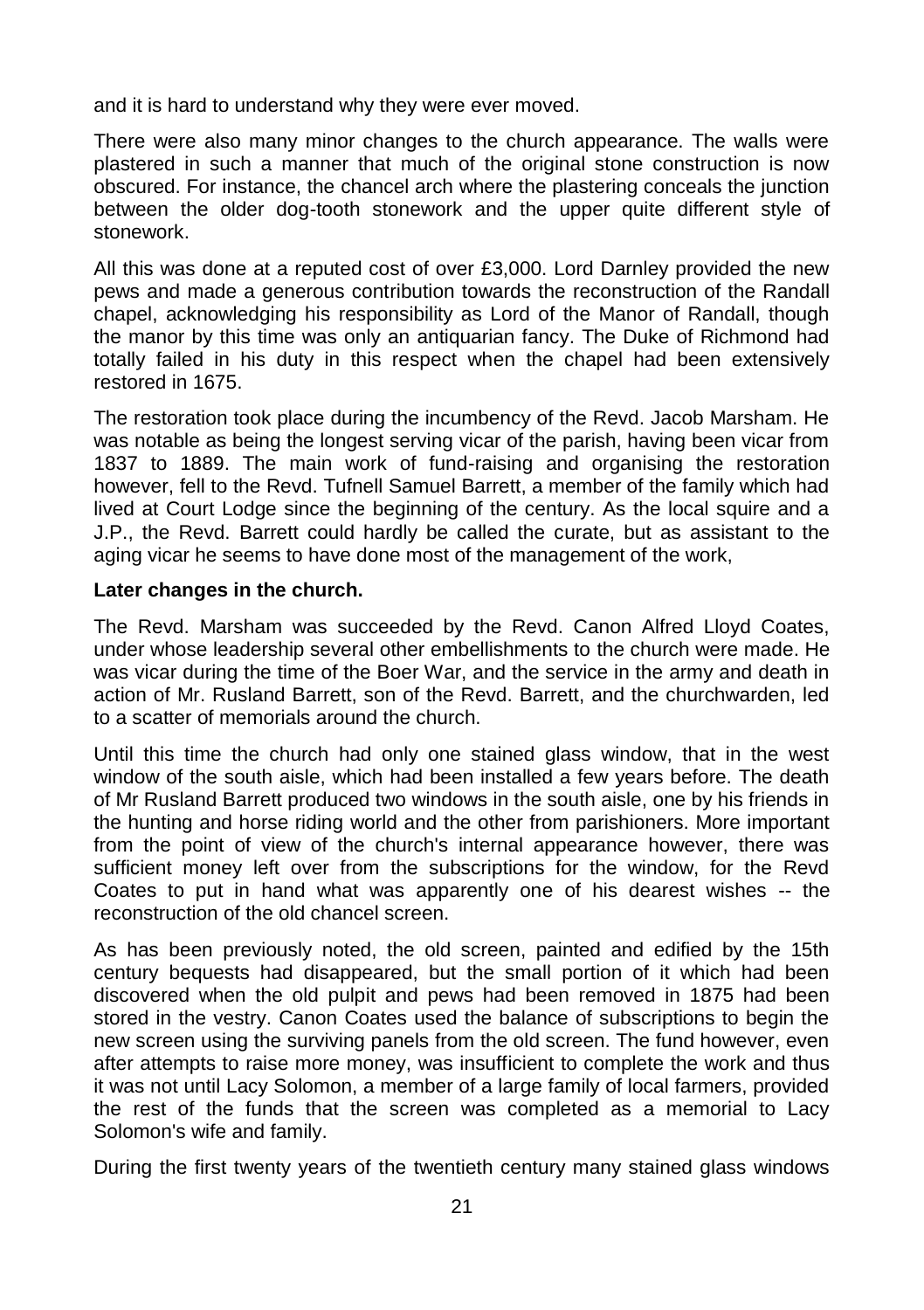and it is hard to understand why they were ever moved.

There were also many minor changes to the church appearance. The walls were plastered in such a manner that much of the original stone construction is now obscured. For instance, the chancel arch where the plastering conceals the junction between the older dog-tooth stonework and the upper quite different style of stonework.

All this was done at a reputed cost of over £3,000. Lord Darnley provided the new pews and made a generous contribution towards the reconstruction of the Randall chapel, acknowledging his responsibility as Lord of the Manor of Randall, though the manor by this time was only an antiquarian fancy. The Duke of Richmond had totally failed in his duty in this respect when the chapel had been extensively restored in 1675.

The restoration took place during the incumbency of the Revd. Jacob Marsham. He was notable as being the longest serving vicar of the parish, having been vicar from 1837 to 1889. The main work of fund-raising and organising the restoration however, fell to the Revd. Tufnell Samuel Barrett, a member of the family which had lived at Court Lodge since the beginning of the century. As the local squire and a J.P., the Revd. Barrett could hardly be called the curate, but as assistant to the aging vicar he seems to have done most of the management of the work,

#### **Later changes in the church.**

The Revd. Marsham was succeeded by the Revd. Canon Alfred Lloyd Coates, under whose leadership several other embellishments to the church were made. He was vicar during the time of the Boer War, and the service in the army and death in action of Mr. Rusland Barrett, son of the Revd. Barrett, and the churchwarden, led to a scatter of memorials around the church.

Until this time the church had only one stained glass window, that in the west window of the south aisle, which had been installed a few years before. The death of Mr Rusland Barrett produced two windows in the south aisle, one by his friends in the hunting and horse riding world and the other from parishioners. More important from the point of view of the church's internal appearance however, there was sufficient money left over from the subscriptions for the window, for the Revd Coates to put in hand what was apparently one of his dearest wishes -- the reconstruction of the old chancel screen.

As has been previously noted, the old screen, painted and edified by the 15th century bequests had disappeared, but the small portion of it which had been discovered when the old pulpit and pews had been removed in 1875 had been stored in the vestry. Canon Coates used the balance of subscriptions to begin the new screen using the surviving panels from the old screen. The fund however, even after attempts to raise more money, was insufficient to complete the work and thus it was not until Lacy Solomon, a member of a large family of local farmers, provided the rest of the funds that the screen was completed as a memorial to Lacy Solomon's wife and family.

During the first twenty years of the twentieth century many stained glass windows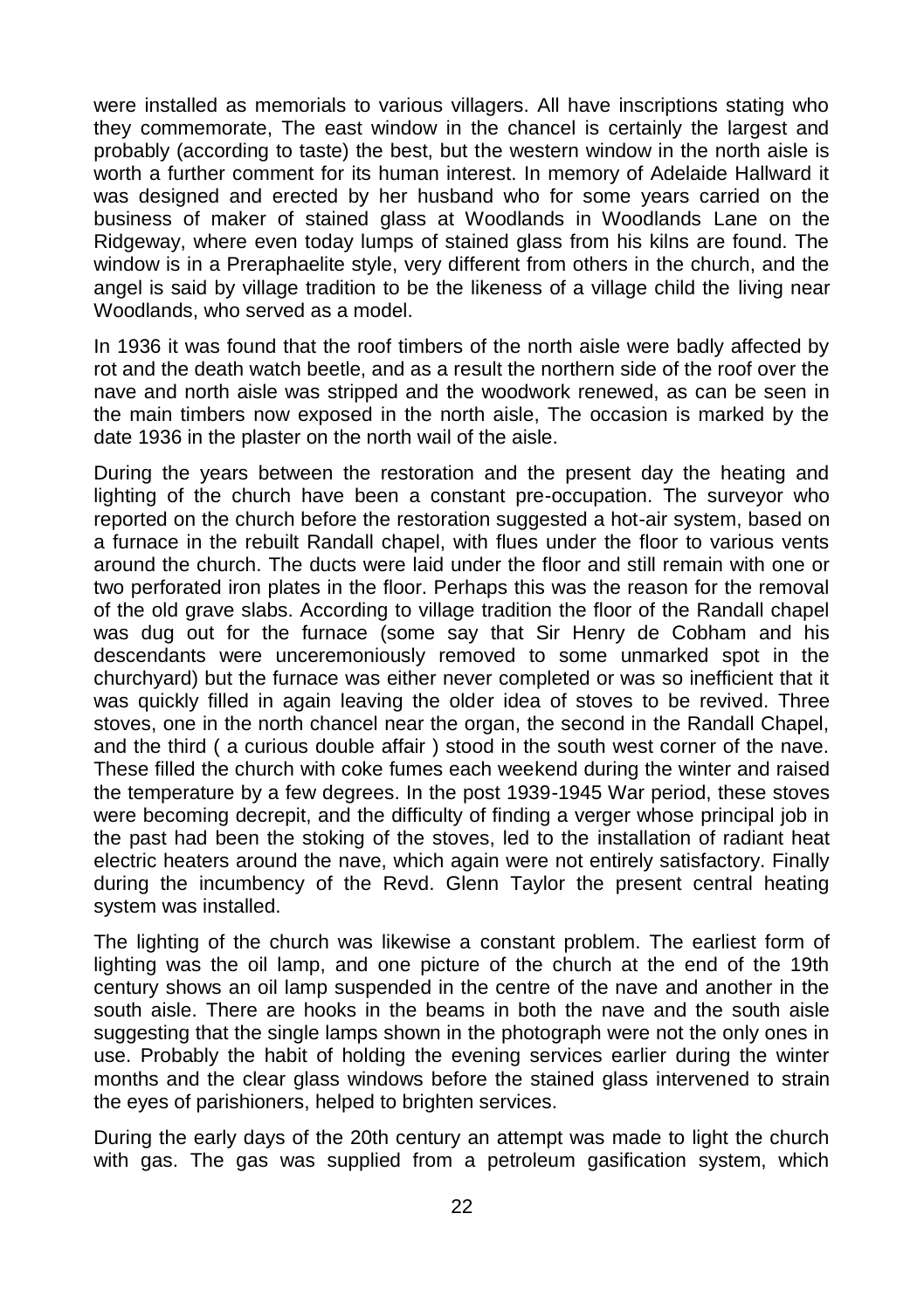were installed as memorials to various villagers. All have inscriptions stating who they commemorate, The east window in the chancel is certainly the largest and probably (according to taste) the best, but the western window in the north aisle is worth a further comment for its human interest. In memory of Adelaide Hallward it was designed and erected by her husband who for some years carried on the business of maker of stained glass at Woodlands in Woodlands Lane on the Ridgeway, where even today lumps of stained glass from his kilns are found. The window is in a Preraphaelite style, very different from others in the church, and the angel is said by village tradition to be the likeness of a village child the living near Woodlands, who served as a model.

In 1936 it was found that the roof timbers of the north aisle were badly affected by rot and the death watch beetle, and as a result the northern side of the roof over the nave and north aisle was stripped and the woodwork renewed, as can be seen in the main timbers now exposed in the north aisle, The occasion is marked by the date 1936 in the plaster on the north wail of the aisle.

During the years between the restoration and the present day the heating and lighting of the church have been a constant pre-occupation. The surveyor who reported on the church before the restoration suggested a hot-air system, based on a furnace in the rebuilt Randall chapel, with flues under the floor to various vents around the church. The ducts were laid under the floor and still remain with one or two perforated iron plates in the floor. Perhaps this was the reason for the removal of the old grave slabs. According to village tradition the floor of the Randall chapel was dug out for the furnace (some say that Sir Henry de Cobham and his descendants were unceremoniously removed to some unmarked spot in the churchyard) but the furnace was either never completed or was so inefficient that it was quickly filled in again leaving the older idea of stoves to be revived. Three stoves, one in the north chancel near the organ, the second in the Randall Chapel, and the third ( a curious double affair ) stood in the south west corner of the nave. These filled the church with coke fumes each weekend during the winter and raised the temperature by a few degrees. In the post 1939-1945 War period, these stoves were becoming decrepit, and the difficulty of finding a verger whose principal job in the past had been the stoking of the stoves, led to the installation of radiant heat electric heaters around the nave, which again were not entirely satisfactory. Finally during the incumbency of the Revd. Glenn Taylor the present central heating system was installed.

The lighting of the church was likewise a constant problem. The earliest form of lighting was the oil lamp, and one picture of the church at the end of the 19th century shows an oil lamp suspended in the centre of the nave and another in the south aisle. There are hooks in the beams in both the nave and the south aisle suggesting that the single lamps shown in the photograph were not the only ones in use. Probably the habit of holding the evening services earlier during the winter months and the clear glass windows before the stained glass intervened to strain the eyes of parishioners, helped to brighten services.

During the early days of the 20th century an attempt was made to light the church with gas. The gas was supplied from a petroleum gasification system, which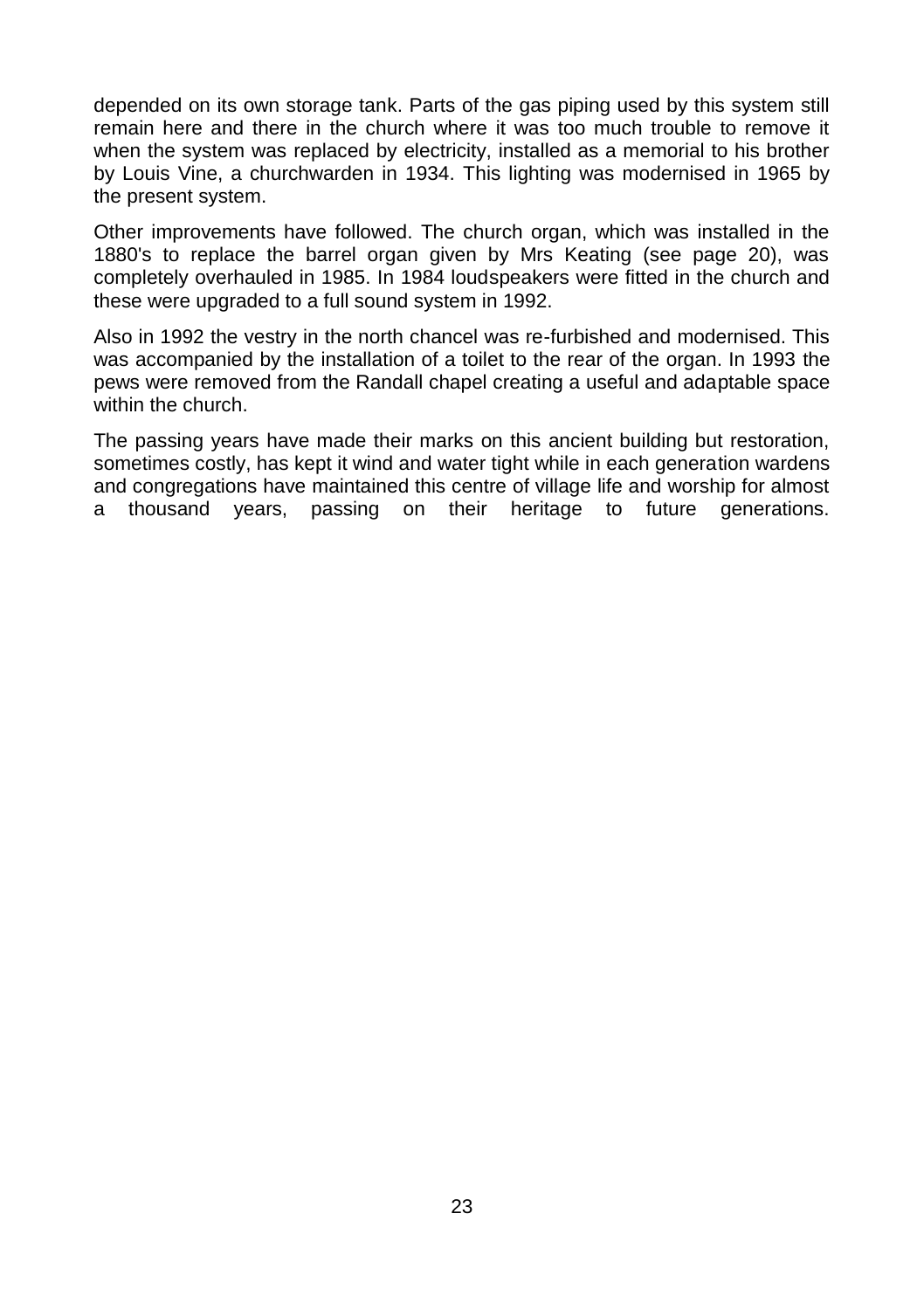depended on its own storage tank. Parts of the gas piping used by this system still remain here and there in the church where it was too much trouble to remove it when the system was replaced by electricity, installed as a memorial to his brother by Louis Vine, a churchwarden in 1934. This lighting was modernised in 1965 by the present system.

Other improvements have followed. The church organ, which was installed in the 1880's to replace the barrel organ given by Mrs Keating (see page 20), was completely overhauled in 1985. In 1984 loudspeakers were fitted in the church and these were upgraded to a full sound system in 1992.

Also in 1992 the vestry in the north chancel was re-furbished and modernised. This was accompanied by the installation of a toilet to the rear of the organ. In 1993 the pews were removed from the Randall chapel creating a useful and adaptable space within the church.

The passing years have made their marks on this ancient building but restoration, sometimes costly, has kept it wind and water tight while in each generation wardens and congregations have maintained this centre of village life and worship for almost a thousand years, passing on their heritage to future generations.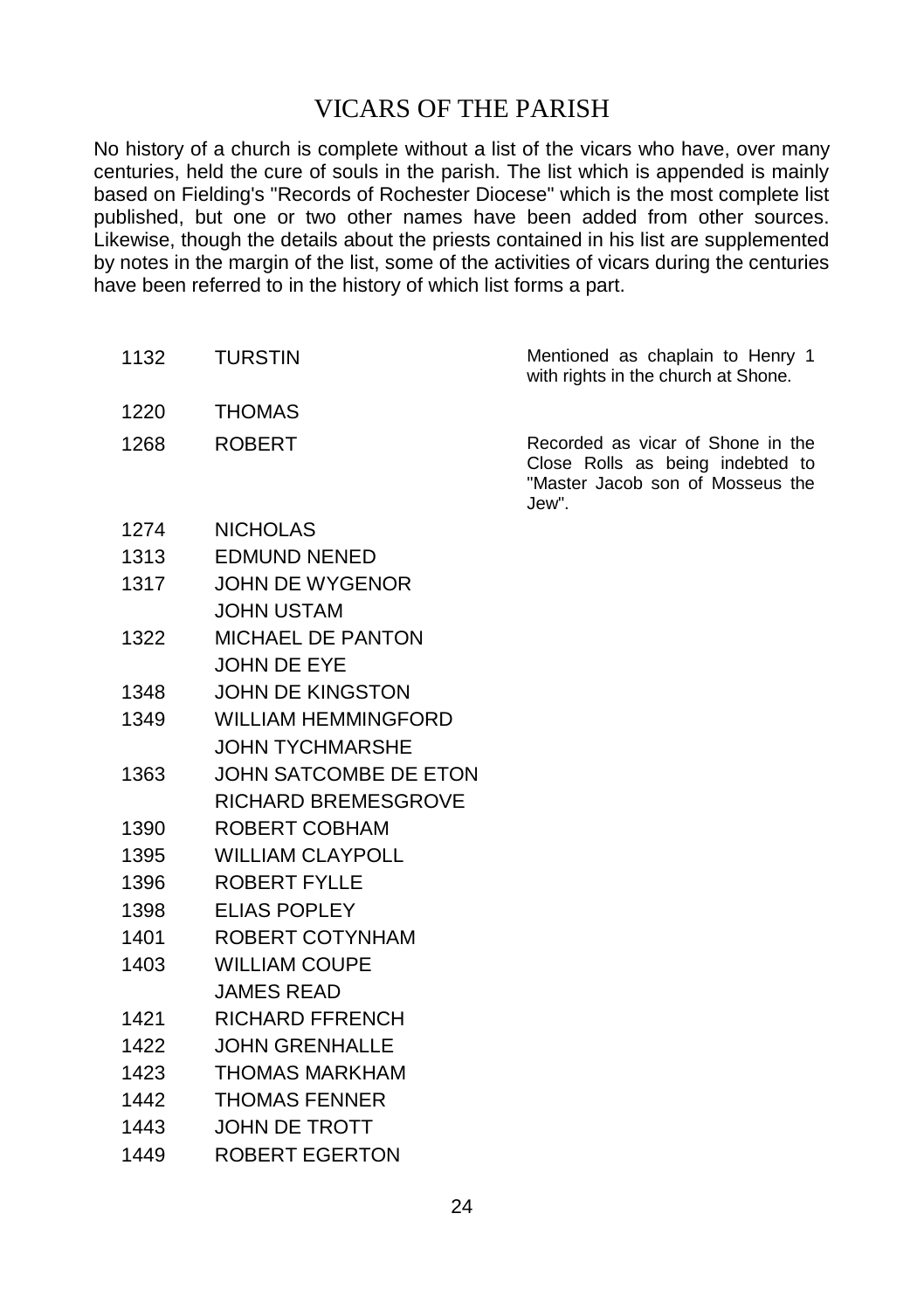## VICARS OF THE PARISH

No history of a church is complete without a list of the vicars who have, over many centuries, held the cure of souls in the parish. The list which is appended is mainly based on Fielding's "Records of Rochester Diocese" which is the most complete list published, but one or two other names have been added from other sources. Likewise, though the details about the priests contained in his list are supplemented by notes in the margin of the list, some of the activities of vicars during the centuries have been referred to in the history of which list forms a part.

| 1132 | <b>TURSTIN</b>             | Mentioned as chaplain to Henry 1<br>with rights in the church at Shone.                                            |
|------|----------------------------|--------------------------------------------------------------------------------------------------------------------|
| 1220 | <b>THOMAS</b>              |                                                                                                                    |
| 1268 | <b>ROBERT</b>              | Recorded as vicar of Shone in the<br>Close Rolls as being indebted to<br>"Master Jacob son of Mosseus the<br>Jew". |
| 1274 | <b>NICHOLAS</b>            |                                                                                                                    |
| 1313 | <b>EDMUND NENED</b>        |                                                                                                                    |
| 1317 | JOHN DE WYGENOR            |                                                                                                                    |
|      | <b>JOHN USTAM</b>          |                                                                                                                    |
| 1322 | <b>MICHAEL DE PANTON</b>   |                                                                                                                    |
|      | JOHN DE EYE                |                                                                                                                    |
| 1348 | <b>JOHN DE KINGSTON</b>    |                                                                                                                    |
| 1349 | <b>WILLIAM HEMMINGFORD</b> |                                                                                                                    |
|      | <b>JOHN TYCHMARSHE</b>     |                                                                                                                    |
| 1363 | JOHN SATCOMBE DE ETON      |                                                                                                                    |
|      | <b>RICHARD BREMESGROVE</b> |                                                                                                                    |
| 1390 | ROBERT COBHAM              |                                                                                                                    |
| 1395 | <b>WILLIAM CLAYPOLL</b>    |                                                                                                                    |
| 1396 | <b>ROBERT FYLLE</b>        |                                                                                                                    |
| 1398 | ELIAS POPLEY               |                                                                                                                    |
| 1401 | ROBERT COTYNHAM            |                                                                                                                    |
| 1403 | <b>WILLIAM COUPE</b>       |                                                                                                                    |
|      | <b>JAMES READ</b>          |                                                                                                                    |
| 1421 | <b>RICHARD FFRENCH</b>     |                                                                                                                    |
| 1422 | JOHN GRENHALLE             |                                                                                                                    |
| 1423 | <b>THOMAS MARKHAM</b>      |                                                                                                                    |
| 1442 | <b>THOMAS FENNER</b>       |                                                                                                                    |
| 1443 | <b>JOHN DE TROTT</b>       |                                                                                                                    |
| 1449 | ROBERT EGERTON             |                                                                                                                    |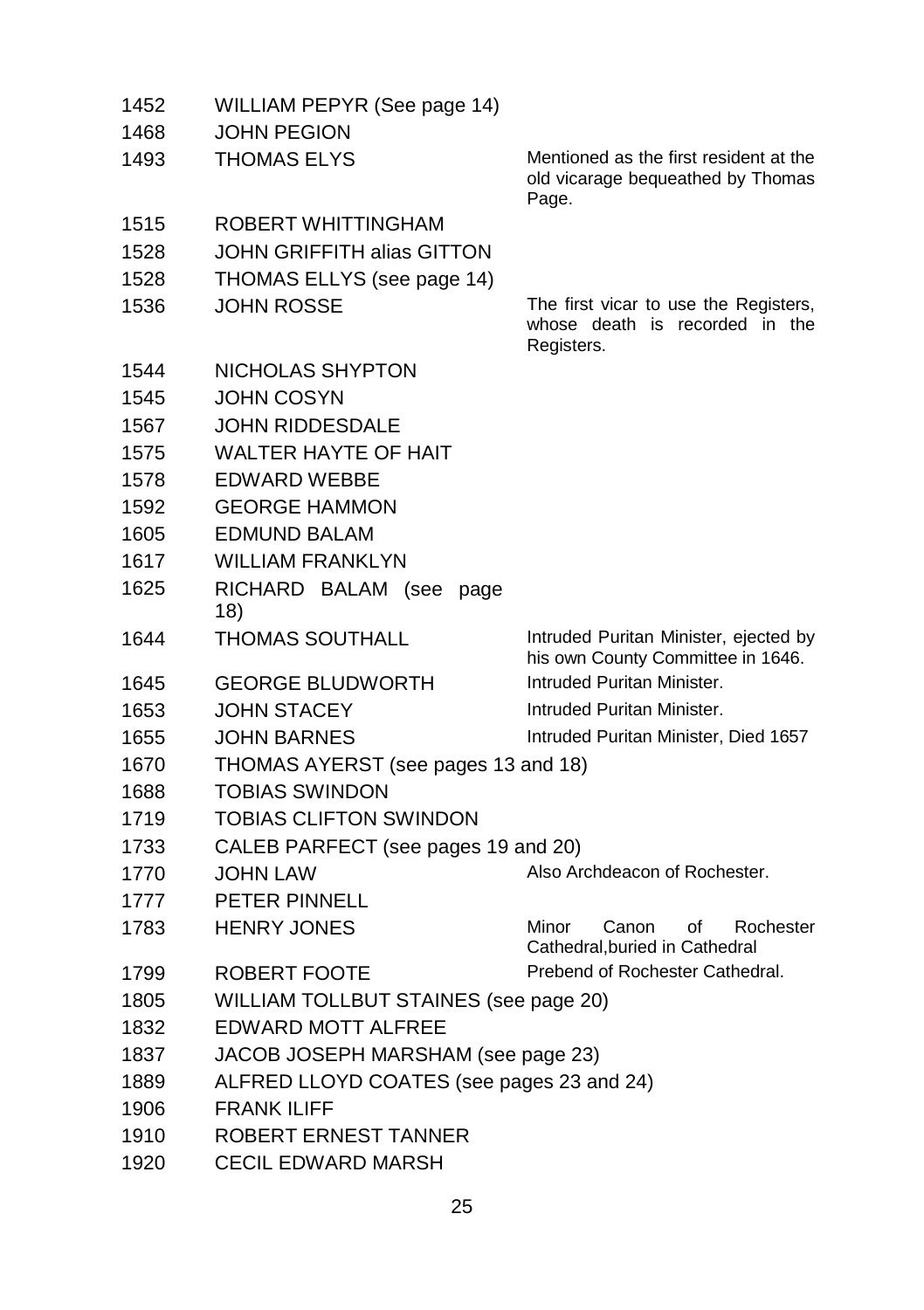| 1783         | <b>HENRY JONES</b>                                     | Minor<br>Canon<br>of<br>Rochester<br>Cathedral, buried in Cathedral     |
|--------------|--------------------------------------------------------|-------------------------------------------------------------------------|
|              |                                                        |                                                                         |
| 1770<br>1777 | PETER PINNELL                                          |                                                                         |
| 1733         | CALEB PARFECT (see pages 19 and 20)<br><b>JOHN LAW</b> | Also Archdeacon of Rochester.                                           |
| 1719         | TOBIAS CLIFTON SWINDON                                 |                                                                         |
| 1688         | TOBIAS SWINDON                                         |                                                                         |
| 1670         | THOMAS AYERST (see pages 13 and 18)                    |                                                                         |
| 1655         | <b>JOHN BARNES</b>                                     | Intruded Puritan Minister, Died 1657                                    |
| 1653         | <b>JOHN STACEY</b>                                     |                                                                         |
|              |                                                        | Intruded Puritan Minister.                                              |
| 1645         | <b>GEORGE BLUDWORTH</b>                                | his own County Committee in 1646.<br>Intruded Puritan Minister.         |
| 1644         | THOMAS SOUTHALL                                        | Intruded Puritan Minister, ejected by                                   |
| 1625         | RICHARD BALAM (see<br>page<br>18)                      |                                                                         |
| 1617         | <b>WILLIAM FRANKLYN</b>                                |                                                                         |
| 1605         | EDMUND BALAM                                           |                                                                         |
| 1592         | <b>GEORGE HAMMON</b>                                   |                                                                         |
| 1578         | EDWARD WEBBE                                           |                                                                         |
| 1575         | <b>WALTER HAYTE OF HAIT</b>                            |                                                                         |
| 1567         | JOHN RIDDESDALE                                        |                                                                         |
| 1545         | JOHN COSYN                                             |                                                                         |
| 1544         | NICHOLAS SHYPTON                                       |                                                                         |
|              |                                                        | Registers.                                                              |
| 1536         | JOHN ROSSE                                             | The first vicar to use the Registers,<br>whose death is recorded in the |
| 1528         | THOMAS ELLYS (see page 14)                             |                                                                         |
| 1528         | JOHN GRIFFITH alias GITTON                             |                                                                         |
| 1515         | ROBERT WHITTINGHAM                                     |                                                                         |
|              |                                                        | Page.                                                                   |
|              |                                                        | old vicarage bequeathed by Thomas                                       |
| 1468<br>1493 | JOHN PEGION<br><b>THOMAS ELYS</b>                      | Mentioned as the first resident at the                                  |
| 1452         | WILLIAM PEPYR (See page 14)                            |                                                                         |
|              |                                                        |                                                                         |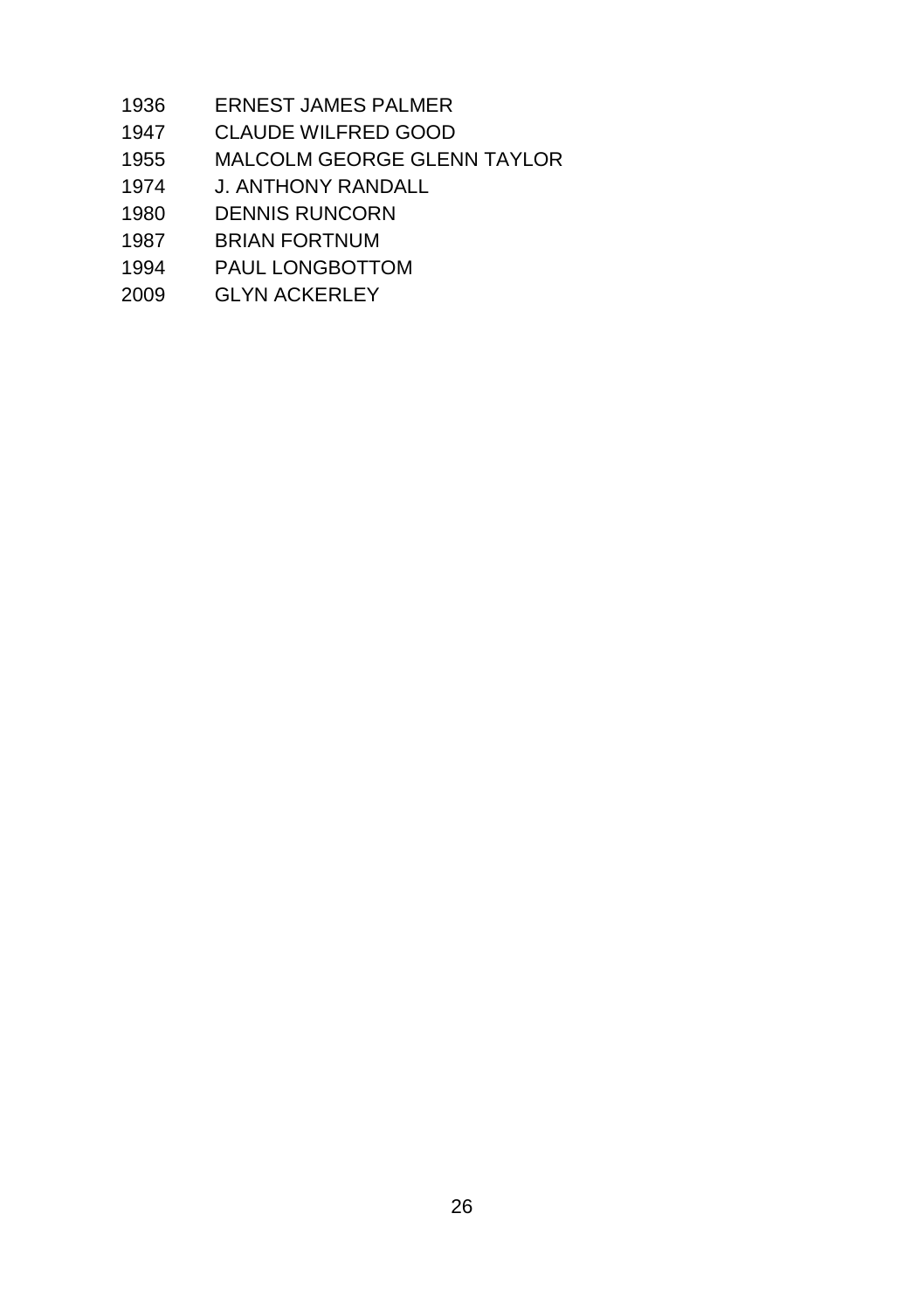- ERNEST JAMES PALMER
- CLAUDE WILFRED GOOD
- MALCOLM GEORGE GLENN TAYLOR
- J. ANTHONY RANDALL
- DENNIS RUNCORN
- BRIAN FORTNUM
- PAUL LONGBOTTOM
- GLYN ACKERLEY